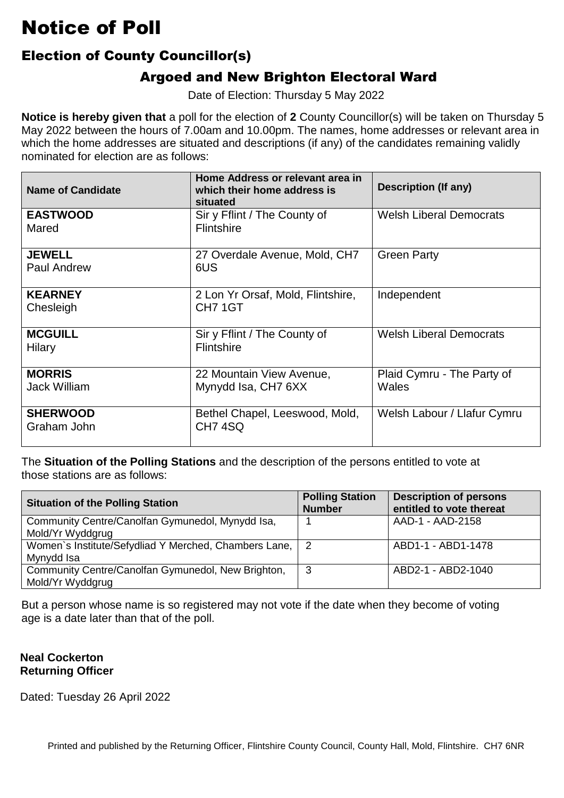### Election of County Councillor(s)

### Argoed and New Brighton Electoral Ward

Date of Election: Thursday 5 May 2022

 **Notice is hereby given that** a poll for the election of **2** County Councillor(s) will be taken on Thursday 5 which the home addresses are situated and descriptions (if any) of the candidates remaining validly nominated for election are as follows: May 2022 between the hours of 7.00am and 10.00pm. The names, home addresses or relevant area in

| <b>Name of Candidate</b>             | Home Address or relevant area in<br>which their home address is<br>situated | <b>Description (If any)</b>         |
|--------------------------------------|-----------------------------------------------------------------------------|-------------------------------------|
| <b>EASTWOOD</b><br>Mared             | Sir y Fflint / The County of<br>Flintshire                                  | <b>Welsh Liberal Democrats</b>      |
| <b>JEWELL</b><br>Paul Andrew         | 27 Overdale Avenue, Mold, CH7<br>6US                                        | <b>Green Party</b>                  |
| <b>KEARNEY</b><br>Chesleigh          | 2 Lon Yr Orsaf, Mold, Flintshire,<br>CH <sub>7</sub> 1GT                    | Independent                         |
| <b>MCGUILL</b><br>Hilary             | Sir y Fflint / The County of<br><b>Flintshire</b>                           | <b>Welsh Liberal Democrats</b>      |
| <b>MORRIS</b><br><b>Jack William</b> | 22 Mountain View Avenue,<br>Mynydd Isa, CH7 6XX                             | Plaid Cymru - The Party of<br>Wales |
| <b>SHERWOOD</b><br>Graham John       | Bethel Chapel, Leeswood, Mold,<br>CH74SQ                                    | Welsh Labour / Llafur Cymru         |

 The **Situation of the Polling Stations** and the description of the persons entitled to vote at those stations are as follows:

| <b>Situation of the Polling Station</b>                                | <b>Polling Station</b><br><b>Number</b> | <b>Description of persons</b><br>entitled to vote thereat |
|------------------------------------------------------------------------|-----------------------------------------|-----------------------------------------------------------|
| Community Centre/Canolfan Gymunedol, Mynydd Isa,<br>Mold/Yr Wyddgrug   |                                         | AAD-1 - AAD-2158                                          |
| Women's Institute/Sefydliad Y Merched, Chambers Lane, 2<br>Mynydd Isa  |                                         | ABD1-1 - ABD1-1478                                        |
| Community Centre/Canolfan Gymunedol, New Brighton,<br>Mold/Yr Wyddgrug | 3                                       | ABD2-1 - ABD2-1040                                        |

But a person whose name is so registered may not vote if the date when they become of voting<br>age is a date later than that of the poll. age is a date later than that of the poll.

#### **Neal Cockerton Returning Officer**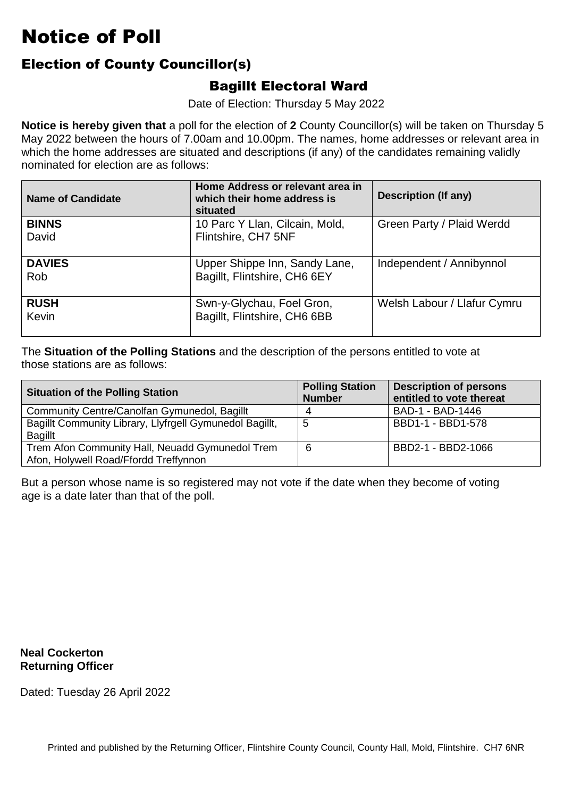### Election of County Councillor(s)

#### Bagillt Electoral Ward

Date of Election: Thursday 5 May 2022

 **Notice is hereby given that** a poll for the election of **2** County Councillor(s) will be taken on Thursday 5 which the home addresses are situated and descriptions (if any) of the candidates remaining validly nominated for election are as follows: May 2022 between the hours of 7.00am and 10.00pm. The names, home addresses or relevant area in

| <b>Name of Candidate</b>    | Home Address or relevant area in<br>which their home address is<br>situated | Description (If any)        |
|-----------------------------|-----------------------------------------------------------------------------|-----------------------------|
| <b>BINNS</b><br>David       | 10 Parc Y Llan, Cilcain, Mold,<br>Flintshire, CH7 5NF                       | Green Party / Plaid Werdd   |
| <b>DAVIES</b><br><b>Rob</b> | Upper Shippe Inn, Sandy Lane,<br>Bagillt, Flintshire, CH6 6EY               | Independent / Annibynnol    |
| <b>RUSH</b><br>Kevin        | Swn-y-Glychau, Foel Gron,<br>Bagillt, Flintshire, CH6 6BB                   | Welsh Labour / Llafur Cymru |

 The **Situation of the Polling Stations** and the description of the persons entitled to vote at those stations are as follows:

| <b>Situation of the Polling Station</b>                                                  | <b>Polling Station</b><br><b>Number</b> | <b>Description of persons</b><br>entitled to vote thereat |
|------------------------------------------------------------------------------------------|-----------------------------------------|-----------------------------------------------------------|
| Community Centre/Canolfan Gymunedol, Bagillt                                             |                                         | BAD-1 - BAD-1446                                          |
| Bagillt Community Library, Llyfrgell Gymunedol Bagillt,<br><b>Bagillt</b>                | -5                                      | BBD1-1 - BBD1-578                                         |
| Trem Afon Community Hall, Neuadd Gymunedol Trem<br>Afon, Holywell Road/Ffordd Treffynnon | 6                                       | BBD2-1 - BBD2-1066                                        |

But a person whose name is so registered may not vote if the date when they become of voting<br>age is a date later than that of the poll. age is a date later than that of the poll.

**Neal Cockerton Returning Officer**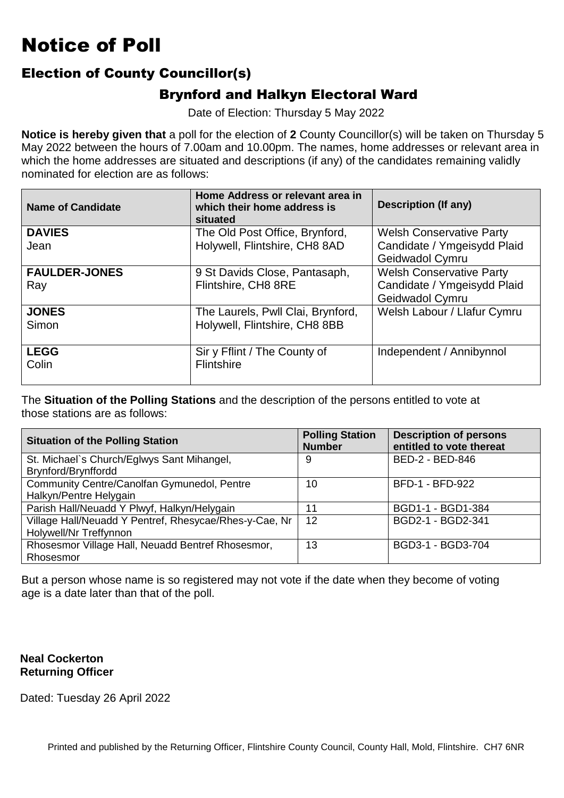#### Election of County Councillor(s)

#### Brynford and Halkyn Electoral Ward

Date of Election: Thursday 5 May 2022

 **Notice is hereby given that** a poll for the election of **2** County Councillor(s) will be taken on Thursday 5 which the home addresses are situated and descriptions (if any) of the candidates remaining validly nominated for election are as follows: May 2022 between the hours of 7.00am and 10.00pm. The names, home addresses or relevant area in

| <b>Name of Candidate</b>    | Home Address or relevant area in<br>which their home address is<br>situated | <b>Description (If any)</b>                                                       |
|-----------------------------|-----------------------------------------------------------------------------|-----------------------------------------------------------------------------------|
| <b>DAVIES</b><br>Jean       | The Old Post Office, Brynford,<br>Holywell, Flintshire, CH8 8AD             | <b>Welsh Conservative Party</b><br>Candidate / Ymgeisydd Plaid                    |
|                             |                                                                             | Geidwadol Cymru                                                                   |
| <b>FAULDER-JONES</b><br>Ray | 9 St Davids Close, Pantasaph,<br>Flintshire, CH8 8RE                        | <b>Welsh Conservative Party</b><br>Candidate / Ymgeisydd Plaid<br>Geidwadol Cymru |
| <b>JONES</b><br>Simon       | The Laurels, Pwll Clai, Brynford,<br>Holywell, Flintshire, CH8 8BB          | Welsh Labour / Llafur Cymru                                                       |
| <b>LEGG</b><br>Colin        | Sir y Fflint / The County of<br><b>Flintshire</b>                           | Independent / Annibynnol                                                          |

 The **Situation of the Polling Stations** and the description of the persons entitled to vote at those stations are as follows:

| <b>Situation of the Polling Station</b>                | <b>Polling Station</b><br><b>Number</b> | <b>Description of persons</b><br>entitled to vote thereat |
|--------------------------------------------------------|-----------------------------------------|-----------------------------------------------------------|
| St. Michael's Church/Eglwys Sant Mihangel,             | 9                                       | BED-2 - BED-846                                           |
| Brynford/Brynffordd                                    |                                         |                                                           |
| Community Centre/Canolfan Gymunedol, Pentre            | 10                                      | <b>BFD-1 - BFD-922</b>                                    |
| Halkyn/Pentre Helygain                                 |                                         |                                                           |
| Parish Hall/Neuadd Y Plwyf, Halkyn/Helygain            | 11                                      | BGD1-1 - BGD1-384                                         |
| Village Hall/Neuadd Y Pentref, Rhesycae/Rhes-y-Cae, Nr | 12                                      | BGD2-1 - BGD2-341                                         |
| Holywell/Nr Treffynnon                                 |                                         |                                                           |
| Rhosesmor Village Hall, Neuadd Bentref Rhosesmor,      | 13                                      | BGD3-1 - BGD3-704                                         |
| Rhosesmor                                              |                                         |                                                           |

But a person whose name is so registered may not vote if the date when they become of voting<br>age is a date later than that of the poll. age is a date later than that of the poll.

#### **Neal Cockerton Returning Officer**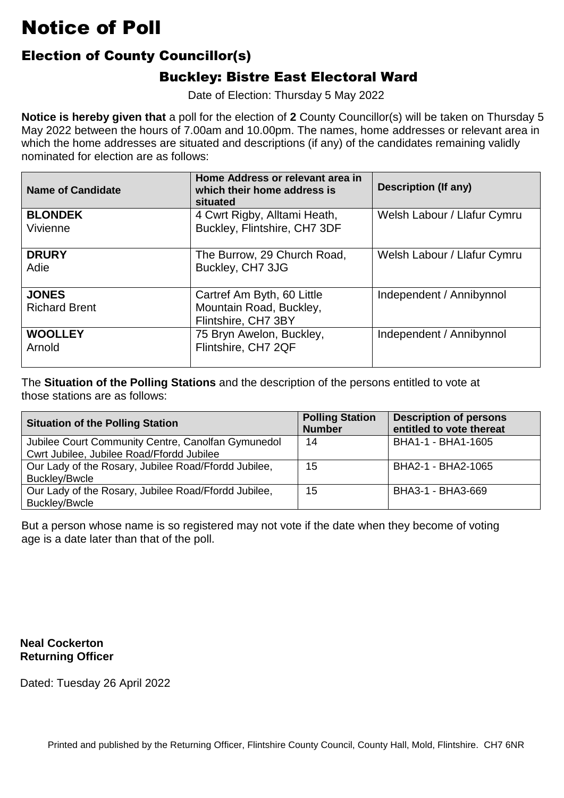### Election of County Councillor(s)

### Buckley: Bistre East Electoral Ward

Date of Election: Thursday 5 May 2022

 **Notice is hereby given that** a poll for the election of **2** County Councillor(s) will be taken on Thursday 5 which the home addresses are situated and descriptions (if any) of the candidates remaining validly nominated for election are as follows: May 2022 between the hours of 7.00am and 10.00pm. The names, home addresses or relevant area in

| <b>Name of Candidate</b>             | Home Address or relevant area in<br>which their home address is<br>situated  | <b>Description (If any)</b> |
|--------------------------------------|------------------------------------------------------------------------------|-----------------------------|
| <b>BLONDEK</b><br>Vivienne           | 4 Cwrt Rigby, Alltami Heath,<br>Buckley, Flintshire, CH7 3DF                 | Welsh Labour / Llafur Cymru |
| <b>DRURY</b><br>Adie                 | The Burrow, 29 Church Road,<br>Buckley, CH7 3JG                              | Welsh Labour / Llafur Cymru |
| <b>JONES</b><br><b>Richard Brent</b> | Cartref Am Byth, 60 Little<br>Mountain Road, Buckley,<br>Flintshire, CH7 3BY | Independent / Annibynnol    |
| <b>WOOLLEY</b><br>Arnold             | 75 Bryn Awelon, Buckley,<br>Flintshire, CH7 2QF                              | Independent / Annibynnol    |

 The **Situation of the Polling Stations** and the description of the persons entitled to vote at those stations are as follows:

| <b>Situation of the Polling Station</b>                                                         | <b>Polling Station</b><br><b>Number</b> | <b>Description of persons</b><br>entitled to vote thereat |
|-------------------------------------------------------------------------------------------------|-----------------------------------------|-----------------------------------------------------------|
| Jubilee Court Community Centre, Canolfan Gymunedol<br>Cwrt Jubilee, Jubilee Road/Ffordd Jubilee | 14                                      | BHA1-1 - BHA1-1605                                        |
| Our Lady of the Rosary, Jubilee Road/Ffordd Jubilee,<br><b>Buckley/Bwcle</b>                    | 15                                      | BHA2-1 - BHA2-1065                                        |
| Our Lady of the Rosary, Jubilee Road/Ffordd Jubilee,<br><b>Buckley/Bwcle</b>                    | 15                                      | BHA3-1 - BHA3-669                                         |

But a person whose name is so registered may not vote if the date when they become of voting<br>age is a date later than that of the poll. age is a date later than that of the poll.

**Neal Cockerton Returning Officer**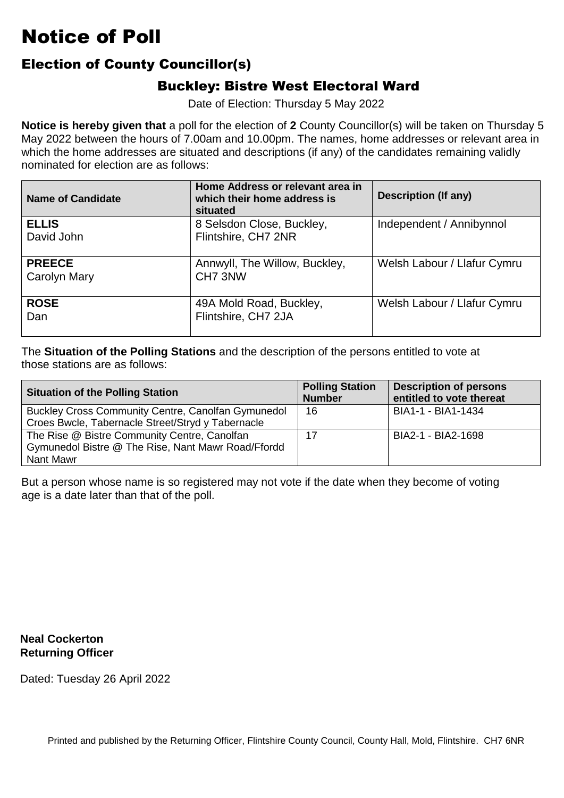#### Election of County Councillor(s)

#### Buckley: Bistre West Electoral Ward

Date of Election: Thursday 5 May 2022

 **Notice is hereby given that** a poll for the election of **2** County Councillor(s) will be taken on Thursday 5 which the home addresses are situated and descriptions (if any) of the candidates remaining validly nominated for election are as follows: May 2022 between the hours of 7.00am and 10.00pm. The names, home addresses or relevant area in

| <b>Name of Candidate</b>             | Home Address or relevant area in<br>which their home address is<br>situated | Description (If any)        |
|--------------------------------------|-----------------------------------------------------------------------------|-----------------------------|
| <b>ELLIS</b><br>David John           | 8 Selsdon Close, Buckley,<br>Flintshire, CH7 2NR                            | Independent / Annibynnol    |
| <b>PREECE</b><br><b>Carolyn Mary</b> | Annwyll, The Willow, Buckley,<br>CH7 3NW                                    | Welsh Labour / Llafur Cymru |
| <b>ROSE</b><br>Dan                   | 49A Mold Road, Buckley,<br>Flintshire, CH7 2JA                              | Welsh Labour / Llafur Cymru |

 The **Situation of the Polling Stations** and the description of the persons entitled to vote at those stations are as follows:

| <b>Situation of the Polling Station</b>            | <b>Polling Station</b><br><b>Number</b> | <b>Description of persons</b><br>entitled to vote thereat |
|----------------------------------------------------|-----------------------------------------|-----------------------------------------------------------|
| Buckley Cross Community Centre, Canolfan Gymunedol | 16                                      | BIA1-1 - BIA1-1434                                        |
| Croes Bwcle, Tabernacle Street/Stryd y Tabernacle  |                                         |                                                           |
| The Rise @ Bistre Community Centre, Canolfan       | 17                                      | BIA2-1 - BIA2-1698                                        |
| Gymunedol Bistre @ The Rise, Nant Mawr Road/Ffordd |                                         |                                                           |
| Nant Mawr                                          |                                         |                                                           |

But a person whose name is so registered may not vote if the date when they become of voting<br>age is a date later than that of the poll. age is a date later than that of the poll.

**Neal Cockerton Returning Officer**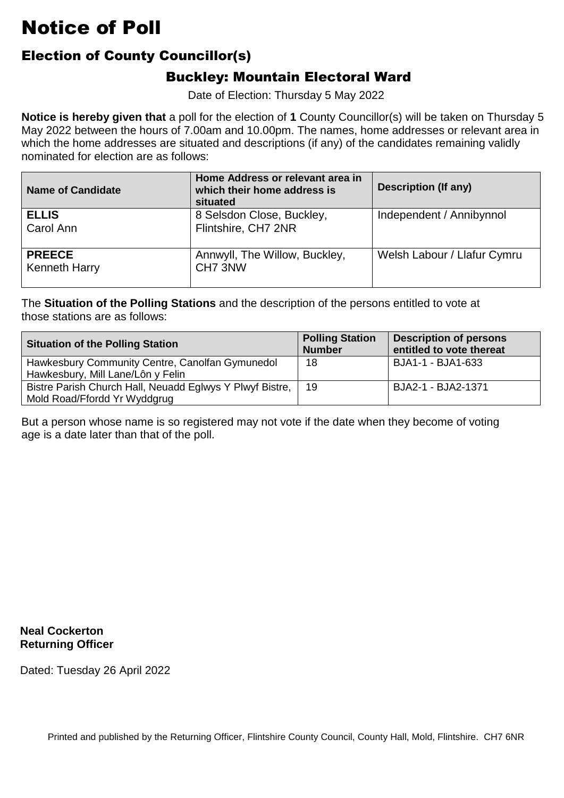### Election of County Councillor(s)

#### Buckley: Mountain Electoral Ward

Date of Election: Thursday 5 May 2022

 **Notice is hereby given that** a poll for the election of **1** County Councillor(s) will be taken on Thursday 5 which the home addresses are situated and descriptions (if any) of the candidates remaining validly nominated for election are as follows: May 2022 between the hours of 7.00am and 10.00pm. The names, home addresses or relevant area in

| <b>Name of Candidate</b>              | Home Address or relevant area in<br>which their home address is<br>situated | Description (If any)        |
|---------------------------------------|-----------------------------------------------------------------------------|-----------------------------|
| <b>ELLIS</b><br>Carol Ann             | 8 Selsdon Close, Buckley,<br>Flintshire, CH7 2NR                            | Independent / Annibynnol    |
| <b>PREECE</b><br><b>Kenneth Harry</b> | Annwyll, The Willow, Buckley,<br>CH7 3NW                                    | Welsh Labour / Llafur Cymru |

 The **Situation of the Polling Stations** and the description of the persons entitled to vote at those stations are as follows:

| <b>Situation of the Polling Station</b>                                                  | <b>Polling Station</b><br><b>Number</b> | <b>Description of persons</b><br>entitled to vote thereat |
|------------------------------------------------------------------------------------------|-----------------------------------------|-----------------------------------------------------------|
| Hawkesbury Community Centre, Canolfan Gymunedol<br>Hawkesbury, Mill Lane/Lôn y Felin     | 18                                      | BJA1-1 - BJA1-633                                         |
| Bistre Parish Church Hall, Neuadd Eglwys Y Plwyf Bistre,<br>Mold Road/Ffordd Yr Wyddgrug | 19                                      | BJA2-1 - BJA2-1371                                        |

But a person whose name is so registered may not vote if the date when they become of voting<br>age is a date later than that of the poll. age is a date later than that of the poll.

**Neal Cockerton Returning Officer**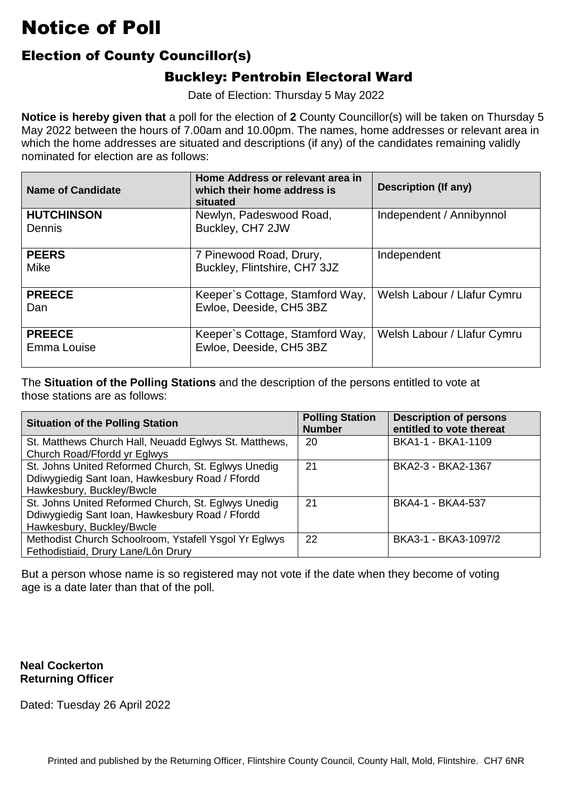### Election of County Councillor(s)

### Buckley: Pentrobin Electoral Ward

Date of Election: Thursday 5 May 2022

 **Notice is hereby given that** a poll for the election of **2** County Councillor(s) will be taken on Thursday 5 which the home addresses are situated and descriptions (if any) of the candidates remaining validly nominated for election are as follows: May 2022 between the hours of 7.00am and 10.00pm. The names, home addresses or relevant area in

| <b>Name of Candidate</b>     | Home Address or relevant area in<br>which their home address is<br>situated | <b>Description (If any)</b> |
|------------------------------|-----------------------------------------------------------------------------|-----------------------------|
| <b>HUTCHINSON</b><br>Dennis  | Newlyn, Padeswood Road,<br>Buckley, CH7 2JW                                 | Independent / Annibynnol    |
| <b>PEERS</b><br>Mike         | 7 Pinewood Road, Drury,<br>Buckley, Flintshire, CH7 3JZ                     | Independent                 |
| <b>PREECE</b><br>Dan         | Keeper's Cottage, Stamford Way,<br>Ewloe, Deeside, CH5 3BZ                  | Welsh Labour / Llafur Cymru |
| <b>PREECE</b><br>Emma Louise | Keeper's Cottage, Stamford Way,<br>Ewloe, Deeside, CH5 3BZ                  | Welsh Labour / Llafur Cymru |

 The **Situation of the Polling Stations** and the description of the persons entitled to vote at those stations are as follows:

| <b>Situation of the Polling Station</b>               | <b>Polling Station</b><br><b>Number</b> | <b>Description of persons</b><br>entitled to vote thereat |
|-------------------------------------------------------|-----------------------------------------|-----------------------------------------------------------|
| St. Matthews Church Hall, Neuadd Eglwys St. Matthews, | 20                                      | BKA1-1 - BKA1-1109                                        |
| Church Road/Ffordd yr Eglwys                          |                                         |                                                           |
| St. Johns United Reformed Church, St. Eglwys Unedig   | 21                                      | BKA2-3 - BKA2-1367                                        |
| Ddiwygiedig Sant Ioan, Hawkesbury Road / Ffordd       |                                         |                                                           |
| Hawkesbury, Buckley/Bwcle                             |                                         |                                                           |
| St. Johns United Reformed Church, St. Eglwys Unedig   | 21                                      | BKA4-1 - BKA4-537                                         |
| Ddiwygiedig Sant Ioan, Hawkesbury Road / Ffordd       |                                         |                                                           |
| Hawkesbury, Buckley/Bwcle                             |                                         |                                                           |
| Methodist Church Schoolroom, Ystafell Ysgol Yr Eglwys | 22                                      | BKA3-1 - BKA3-1097/2                                      |
| Fethodistiaid, Drury Lane/Lôn Drury                   |                                         |                                                           |

But a person whose name is so registered may not vote if the date when they become of voting<br>age is a date later than that of the poll. age is a date later than that of the poll.

#### **Neal Cockerton Returning Officer**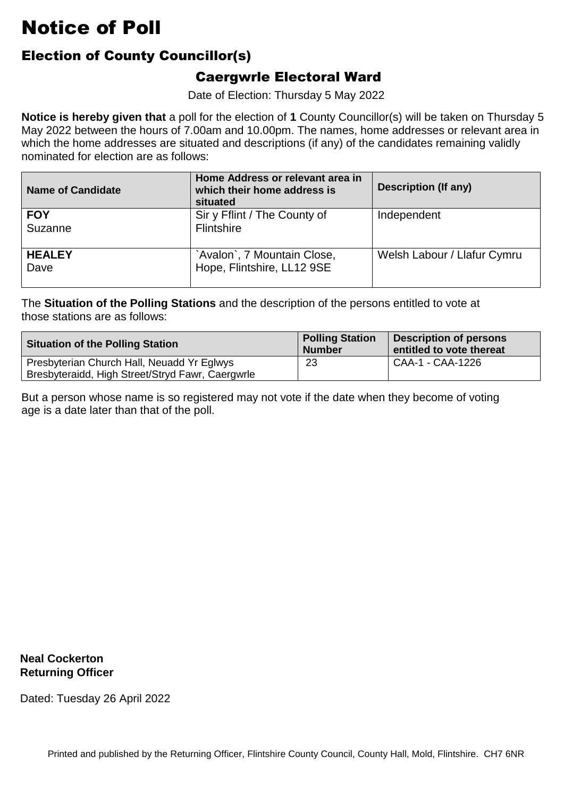### Election of County Councillor(s)

#### Caergwrle Electoral Ward

Date of Election: Thursday 5 May 2022

 **Notice is hereby given that** a poll for the election of **1** County Councillor(s) will be taken on Thursday 5 which the home addresses are situated and descriptions (if any) of the candidates remaining validly nominated for election are as follows: May 2022 between the hours of 7.00am and 10.00pm. The names, home addresses or relevant area in

| <b>Name of Candidate</b> | Home Address or relevant area in<br>which their home address is<br>situated | Description (If any)        |
|--------------------------|-----------------------------------------------------------------------------|-----------------------------|
| <b>FOY</b><br>Suzanne    | Sir y Fflint / The County of<br>Flintshire                                  | Independent                 |
| <b>HEALEY</b><br>Dave    | `Avalon`, 7 Mountain Close,<br>Hope, Flintshire, LL12 9SE                   | Welsh Labour / Llafur Cymru |

 The **Situation of the Polling Stations** and the description of the persons entitled to vote at those stations are as follows:

| <b>Situation of the Polling Station</b>                                                        | <b>Polling Station</b><br><b>Number</b> | <b>Description of persons</b><br>entitled to vote thereat |
|------------------------------------------------------------------------------------------------|-----------------------------------------|-----------------------------------------------------------|
| Presbyterian Church Hall, Neuadd Yr Eglwys<br>Bresbyteraidd, High Street/Stryd Fawr, Caergwrle | 23                                      | CAA-1 - CAA-1226                                          |

But a person whose name is so registered may not vote if the date when they become of voting<br>age is a date later than that of the poll. age is a date later than that of the poll.

**Neal Cockerton Returning Officer**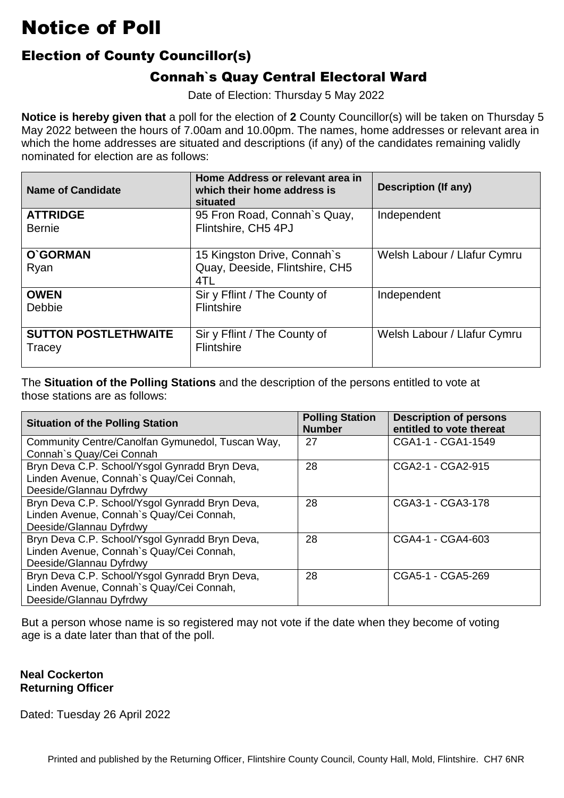### Election of County Councillor(s)

### Connah`s Quay Central Electoral Ward

Date of Election: Thursday 5 May 2022

 **Notice is hereby given that** a poll for the election of **2** County Councillor(s) will be taken on Thursday 5 which the home addresses are situated and descriptions (if any) of the candidates remaining validly nominated for election are as follows: May 2022 between the hours of 7.00am and 10.00pm. The names, home addresses or relevant area in

| <b>Name of Candidate</b>              | Home Address or relevant area in<br>which their home address is<br>situated | <b>Description (If any)</b> |
|---------------------------------------|-----------------------------------------------------------------------------|-----------------------------|
| <b>ATTRIDGE</b><br><b>Bernie</b>      | 95 Fron Road, Connah's Quay,<br>Flintshire, CH5 4PJ                         | Independent                 |
| O'GORMAN<br>Ryan                      | 15 Kingston Drive, Connah's<br>Quay, Deeside, Flintshire, CH5<br>4TL        | Welsh Labour / Llafur Cymru |
| <b>OWEN</b><br>Debbie                 | Sir y Fflint / The County of<br><b>Flintshire</b>                           | Independent                 |
| <b>SUTTON POSTLETHWAITE</b><br>Tracey | Sir y Fflint / The County of<br><b>Flintshire</b>                           | Welsh Labour / Llafur Cymru |

 The **Situation of the Polling Stations** and the description of the persons entitled to vote at those stations are as follows:

| <b>Situation of the Polling Station</b>          | <b>Polling Station</b><br><b>Number</b> | <b>Description of persons</b><br>entitled to vote thereat |
|--------------------------------------------------|-----------------------------------------|-----------------------------------------------------------|
| Community Centre/Canolfan Gymunedol, Tuscan Way, | 27                                      | CGA1-1 - CGA1-1549                                        |
| Connah's Quay/Cei Connah                         |                                         |                                                           |
| Bryn Deva C.P. School/Ysgol Gynradd Bryn Deva,   | 28                                      | CGA2-1 - CGA2-915                                         |
| Linden Avenue, Connah's Quay/Cei Connah,         |                                         |                                                           |
| Deeside/Glannau Dyfrdwy                          |                                         |                                                           |
| Bryn Deva C.P. School/Ysgol Gynradd Bryn Deva,   | 28                                      | CGA3-1 - CGA3-178                                         |
| Linden Avenue, Connah's Quay/Cei Connah,         |                                         |                                                           |
| Deeside/Glannau Dyfrdwy                          |                                         |                                                           |
| Bryn Deva C.P. School/Ysgol Gynradd Bryn Deva,   | 28                                      | CGA4-1 - CGA4-603                                         |
| Linden Avenue, Connah's Quay/Cei Connah,         |                                         |                                                           |
| Deeside/Glannau Dyfrdwy                          |                                         |                                                           |
| Bryn Deva C.P. School/Ysgol Gynradd Bryn Deva,   | 28                                      | CGA5-1 - CGA5-269                                         |
| Linden Avenue, Connah's Quay/Cei Connah,         |                                         |                                                           |
| Deeside/Glannau Dyfrdwy                          |                                         |                                                           |

But a person whose name is so registered may not vote if the date when they become of voting<br>age is a date later than that of the poll. age is a date later than that of the poll.

#### **Neal Cockerton Returning Officer**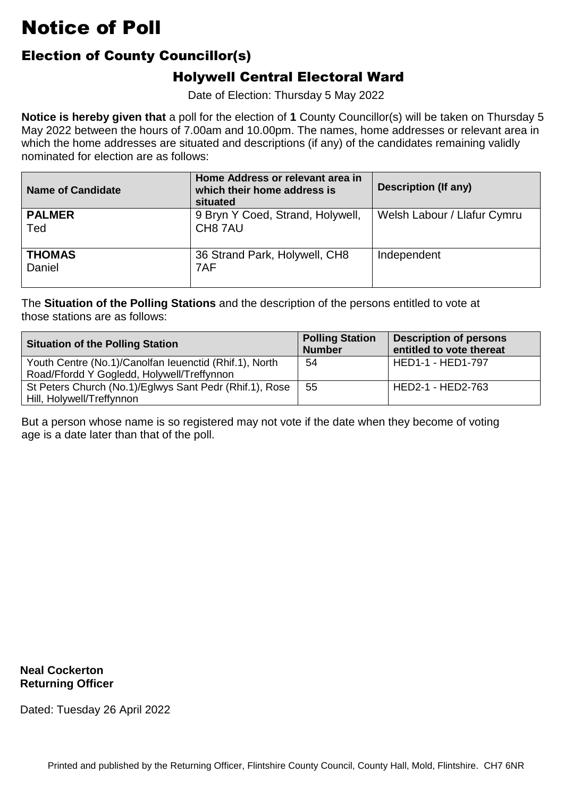### Election of County Councillor(s)

### Holywell Central Electoral Ward

Date of Election: Thursday 5 May 2022

 **Notice is hereby given that** a poll for the election of **1** County Councillor(s) will be taken on Thursday 5 which the home addresses are situated and descriptions (if any) of the candidates remaining validly nominated for election are as follows: May 2022 between the hours of 7.00am and 10.00pm. The names, home addresses or relevant area in

| <b>Name of Candidate</b> | Home Address or relevant area in<br>which their home address is<br>situated | <b>Description (If any)</b> |
|--------------------------|-----------------------------------------------------------------------------|-----------------------------|
| <b>PALMER</b><br>Ted     | 9 Bryn Y Coed, Strand, Holywell,<br>CH8 7AU                                 | Welsh Labour / Llafur Cymru |
| <b>THOMAS</b><br>Daniel  | 36 Strand Park, Holywell, CH8<br>7AF                                        | Independent                 |

 The **Situation of the Polling Stations** and the description of the persons entitled to vote at those stations are as follows:

| <b>Situation of the Polling Station</b>                                                              | <b>Polling Station</b><br><b>Number</b> | <b>Description of persons</b><br>entitled to vote thereat |
|------------------------------------------------------------------------------------------------------|-----------------------------------------|-----------------------------------------------------------|
| Youth Centre (No.1)/Canolfan leuenctid (Rhif.1), North<br>Road/Ffordd Y Gogledd, Holywell/Treffynnon | 54                                      | HED1-1 - HED1-797                                         |
| St Peters Church (No.1)/Eglwys Sant Pedr (Rhif.1), Rose<br>Hill, Holywell/Treffynnon                 | 55                                      | HED2-1 - HED2-763                                         |

But a person whose name is so registered may not vote if the date when they become of voting<br>age is a date later than that of the poll. age is a date later than that of the poll.

**Neal Cockerton Returning Officer**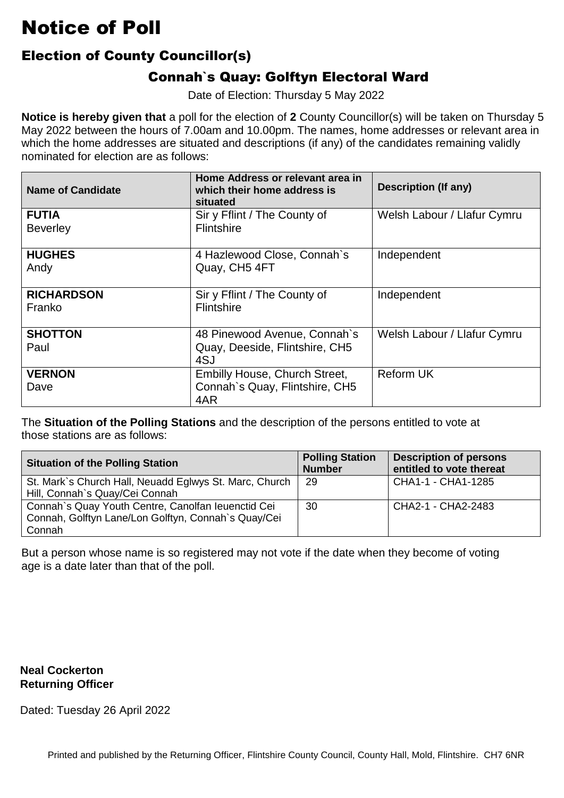### Election of County Councillor(s)

### Connah`s Quay: Golftyn Electoral Ward

Date of Election: Thursday 5 May 2022

 **Notice is hereby given that** a poll for the election of **2** County Councillor(s) will be taken on Thursday 5 which the home addresses are situated and descriptions (if any) of the candidates remaining validly nominated for election are as follows: May 2022 between the hours of 7.00am and 10.00pm. The names, home addresses or relevant area in

| <b>Name of Candidate</b>        | Home Address or relevant area in<br>which their home address is<br>situated   | <b>Description (If any)</b> |
|---------------------------------|-------------------------------------------------------------------------------|-----------------------------|
| <b>FUTIA</b><br><b>Beverley</b> | Sir y Fflint / The County of<br><b>Flintshire</b>                             | Welsh Labour / Llafur Cymru |
| <b>HUGHES</b><br>Andy           | 4 Hazlewood Close, Connah's<br>Quay, CH5 4FT                                  | Independent                 |
| <b>RICHARDSON</b><br>Franko     | Sir y Fflint / The County of<br>Flintshire                                    | Independent                 |
| <b>SHOTTON</b><br>Paul          | 48 Pinewood Avenue, Connah's<br>Quay, Deeside, Flintshire, CH5<br>4SJ         | Welsh Labour / Llafur Cymru |
| <b>VERNON</b><br>Dave           | <b>Embilly House, Church Street,</b><br>Connah's Quay, Flintshire, CH5<br>4AR | <b>Reform UK</b>            |

 The **Situation of the Polling Stations** and the description of the persons entitled to vote at those stations are as follows:

| <b>Situation of the Polling Station</b>                                                                             | <b>Polling Station</b><br><b>Number</b> | <b>Description of persons</b><br>entitled to vote thereat |
|---------------------------------------------------------------------------------------------------------------------|-----------------------------------------|-----------------------------------------------------------|
| St. Mark`s Church Hall, Neuadd Eglwys St. Marc, Church<br>Hill, Connah's Quay/Cei Connah                            | 29                                      | CHA1-1 - CHA1-1285                                        |
| Connah's Quay Youth Centre, Canolfan Ieuenctid Cei<br>Connah, Golftyn Lane/Lon Golftyn, Connah's Quay/Cei<br>Connah | 30                                      | CHA2-1 - CHA2-2483                                        |

But a person whose name is so registered may not vote if the date when they become of voting<br>age is a date later than that of the poll. age is a date later than that of the poll.

#### **Neal Cockerton Returning Officer**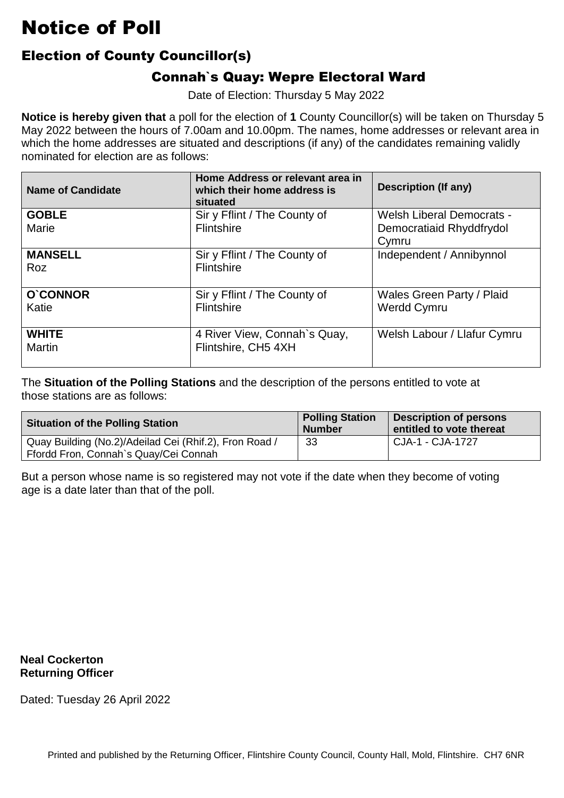### Election of County Councillor(s)

### Connah`s Quay: Wepre Electoral Ward

Date of Election: Thursday 5 May 2022

 **Notice is hereby given that** a poll for the election of **1** County Councillor(s) will be taken on Thursday 5 which the home addresses are situated and descriptions (if any) of the candidates remaining validly nominated for election are as follows: May 2022 between the hours of 7.00am and 10.00pm. The names, home addresses or relevant area in

| <b>Name of Candidate</b> | Home Address or relevant area in<br>which their home address is<br>situated | <b>Description (If any)</b>      |
|--------------------------|-----------------------------------------------------------------------------|----------------------------------|
| <b>GOBLE</b>             | Sir y Fflint / The County of                                                | <b>Welsh Liberal Democrats -</b> |
| Marie                    | Flintshire                                                                  | Democratiaid Rhyddfrydol         |
|                          |                                                                             | Cymru                            |
| <b>MANSELL</b>           | Sir y Fflint / The County of                                                | Independent / Annibynnol         |
| <b>Roz</b>               | Flintshire                                                                  |                                  |
|                          |                                                                             |                                  |
| O'CONNOR                 | Sir y Fflint / The County of                                                | Wales Green Party / Plaid        |
| Katie                    | Flintshire                                                                  | <b>Werdd Cymru</b>               |
|                          |                                                                             |                                  |
| <b>WHITE</b>             | 4 River View, Connah's Quay,                                                | Welsh Labour / Llafur Cymru      |
| <b>Martin</b>            | Flintshire, CH5 4XH                                                         |                                  |
|                          |                                                                             |                                  |

 The **Situation of the Polling Stations** and the description of the persons entitled to vote at those stations are as follows:

| <b>Situation of the Polling Station</b>                                                         | <b>Polling Station</b><br><b>Number</b> | <b>Description of persons</b><br>entitled to vote thereat |
|-------------------------------------------------------------------------------------------------|-----------------------------------------|-----------------------------------------------------------|
| Quay Building (No.2)/Adeilad Cei (Rhif.2), Fron Road /<br>Ffordd Fron, Connah's Quay/Cei Connah | 33                                      | CJA-1 - CJA-1727                                          |

But a person whose name is so registered may not vote if the date when they become of voting<br>age is a date later than that of the poll. age is a date later than that of the poll.

**Neal Cockerton Returning Officer**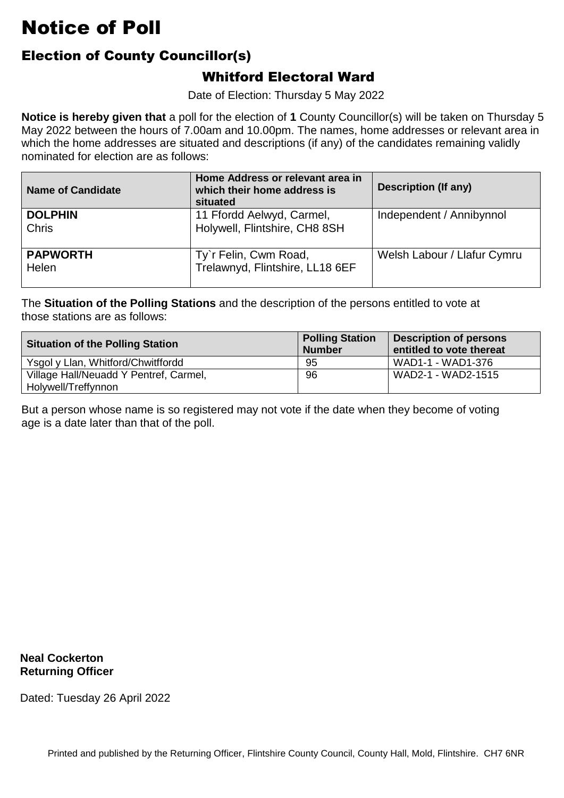### Election of County Councillor(s)

#### Whitford Electoral Ward

Date of Election: Thursday 5 May 2022

 **Notice is hereby given that** a poll for the election of **1** County Councillor(s) will be taken on Thursday 5 which the home addresses are situated and descriptions (if any) of the candidates remaining validly nominated for election are as follows: May 2022 between the hours of 7.00am and 10.00pm. The names, home addresses or relevant area in

| <b>Name of Candidate</b> | Home Address or relevant area in<br>which their home address is<br>situated | <b>Description (If any)</b> |
|--------------------------|-----------------------------------------------------------------------------|-----------------------------|
| <b>DOLPHIN</b><br>Chris  | 11 Ffordd Aelwyd, Carmel,<br>Holywell, Flintshire, CH8 8SH                  | Independent / Annibynnol    |
| <b>PAPWORTH</b><br>Helen | Ty'r Felin, Cwm Road,<br>Trelawnyd, Flintshire, LL18 6EF                    | Welsh Labour / Llafur Cymru |

 The **Situation of the Polling Stations** and the description of the persons entitled to vote at those stations are as follows:

| <b>Situation of the Polling Station</b> | <b>Polling Station</b><br><b>Number</b> | <b>Description of persons</b><br>entitled to vote thereat |
|-----------------------------------------|-----------------------------------------|-----------------------------------------------------------|
| Ysgol y Llan, Whitford/Chwitffordd      | 95                                      | WAD1-1 - WAD1-376                                         |
| Village Hall/Neuadd Y Pentref, Carmel,  | 96                                      | WAD2-1 - WAD2-1515                                        |
| Holywell/Treffynnon                     |                                         |                                                           |

But a person whose name is so registered may not vote if the date when they become of voting<br>age is a date later than that of the poll. age is a date later than that of the poll.

**Neal Cockerton Returning Officer**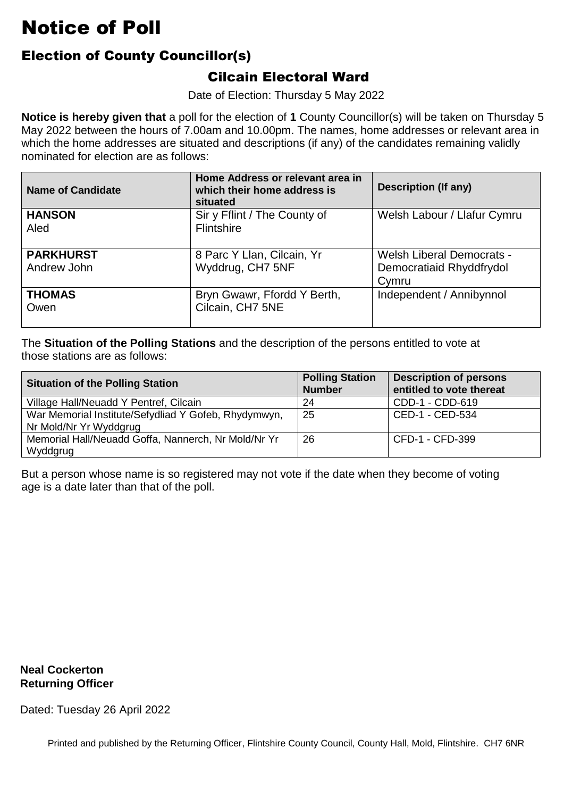### Election of County Councillor(s)

#### Cilcain Electoral Ward

Date of Election: Thursday 5 May 2022

 **Notice is hereby given that** a poll for the election of **1** County Councillor(s) will be taken on Thursday 5 which the home addresses are situated and descriptions (if any) of the candidates remaining validly nominated for election are as follows: May 2022 between the hours of 7.00am and 10.00pm. The names, home addresses or relevant area in

| <b>Name of Candidate</b>        | Home Address or relevant area in<br>which their home address is<br>situated | <b>Description (If any)</b>                                           |
|---------------------------------|-----------------------------------------------------------------------------|-----------------------------------------------------------------------|
| <b>HANSON</b><br>Aled           | Sir y Fflint / The County of<br>Flintshire                                  | Welsh Labour / Llafur Cymru                                           |
| <b>PARKHURST</b><br>Andrew John | 8 Parc Y Llan, Cilcain, Yr<br>Wyddrug, CH7 5NF                              | <b>Welsh Liberal Democrats -</b><br>Democratiaid Rhyddfrydol<br>Cymru |
| <b>THOMAS</b><br>Owen           | Bryn Gwawr, Ffordd Y Berth,<br>Cilcain, CH7 5NE                             | Independent / Annibynnol                                              |

 The **Situation of the Polling Stations** and the description of the persons entitled to vote at those stations are as follows:

| <b>Situation of the Polling Station</b>              | <b>Polling Station</b><br><b>Number</b> | <b>Description of persons</b><br>entitled to vote thereat |
|------------------------------------------------------|-----------------------------------------|-----------------------------------------------------------|
| Village Hall/Neuadd Y Pentref, Cilcain               | 24                                      | CDD-1 - CDD-619                                           |
| War Memorial Institute/Sefydliad Y Gofeb, Rhydymwyn, | 25                                      | CED-1 - CED-534                                           |
| Nr Mold/Nr Yr Wyddgrug                               |                                         |                                                           |
| Memorial Hall/Neuadd Goffa, Nannerch, Nr Mold/Nr Yr  | 26                                      | CFD-1 - CFD-399                                           |
| Wyddgrug                                             |                                         |                                                           |

But a person whose name is so registered may not vote if the date when they become of voting<br>age is a date later than that of the poll. age is a date later than that of the poll.

**Neal Cockerton Returning Officer**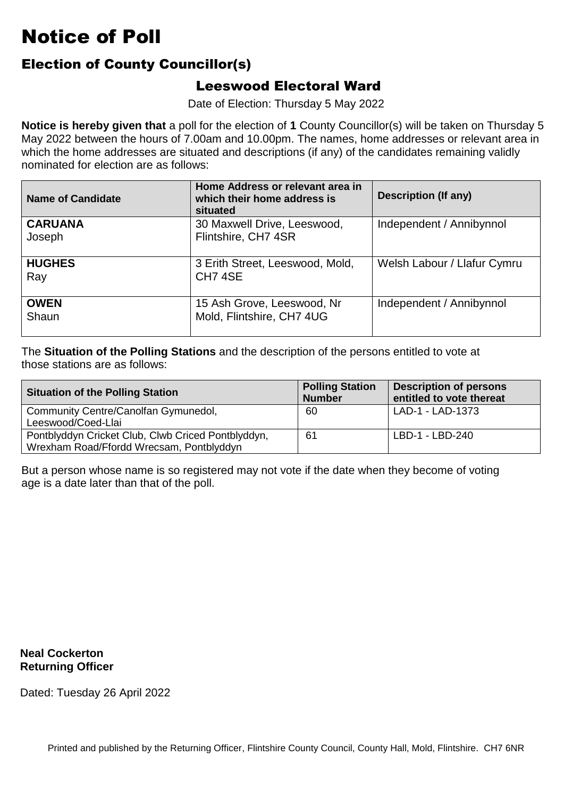#### Election of County Councillor(s)

#### Leeswood Electoral Ward

Date of Election: Thursday 5 May 2022

 **Notice is hereby given that** a poll for the election of **1** County Councillor(s) will be taken on Thursday 5 which the home addresses are situated and descriptions (if any) of the candidates remaining validly nominated for election are as follows: May 2022 between the hours of 7.00am and 10.00pm. The names, home addresses or relevant area in

| <b>Name of Candidate</b> | Home Address or relevant area in<br>which their home address is<br>situated | Description (If any)        |
|--------------------------|-----------------------------------------------------------------------------|-----------------------------|
| <b>CARUANA</b><br>Joseph | 30 Maxwell Drive, Leeswood,<br>Flintshire, CH7 4SR                          | Independent / Annibynnol    |
| <b>HUGHES</b><br>Ray     | 3 Erith Street, Leeswood, Mold,<br>CH <sub>7</sub> 4SE                      | Welsh Labour / Llafur Cymru |
| <b>OWEN</b><br>Shaun     | 15 Ash Grove, Leeswood, Nr<br>Mold, Flintshire, CH7 4UG                     | Independent / Annibynnol    |

 The **Situation of the Polling Stations** and the description of the persons entitled to vote at those stations are as follows:

| <b>Situation of the Polling Station</b>                                                        | <b>Polling Station</b><br><b>Number</b> | <b>Description of persons</b><br>entitled to vote thereat |
|------------------------------------------------------------------------------------------------|-----------------------------------------|-----------------------------------------------------------|
| Community Centre/Canolfan Gymunedol,<br>Leeswood/Coed-Llai                                     | 60                                      | LAD-1 - LAD-1373                                          |
| Pontblyddyn Cricket Club, Clwb Criced Pontblyddyn,<br>Wrexham Road/Ffordd Wrecsam, Pontblyddyn | 61                                      | LBD-1 - LBD-240                                           |

But a person whose name is so registered may not vote if the date when they become of voting<br>age is a date later than that of the poll. age is a date later than that of the poll.

**Neal Cockerton Returning Officer**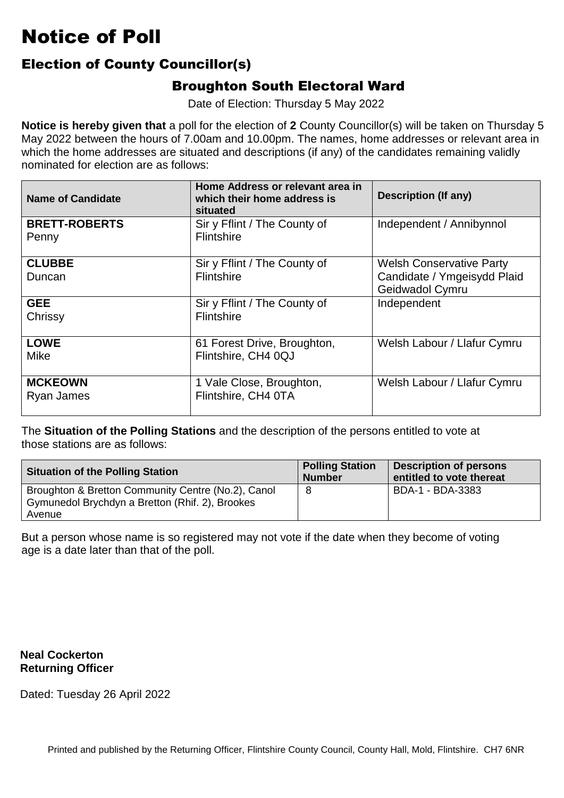#### Election of County Councillor(s)

#### Broughton South Electoral Ward

Date of Election: Thursday 5 May 2022

 **Notice is hereby given that** a poll for the election of **2** County Councillor(s) will be taken on Thursday 5 which the home addresses are situated and descriptions (if any) of the candidates remaining validly nominated for election are as follows: May 2022 between the hours of 7.00am and 10.00pm. The names, home addresses or relevant area in

| <b>Name of Candidate</b>      | Home Address or relevant area in<br>which their home address is<br>situated | <b>Description (If any)</b>                                                       |
|-------------------------------|-----------------------------------------------------------------------------|-----------------------------------------------------------------------------------|
| <b>BRETT-ROBERTS</b><br>Penny | Sir y Fflint / The County of<br>Flintshire                                  | Independent / Annibynnol                                                          |
| <b>CLUBBE</b><br>Duncan       | Sir y Fflint / The County of<br>Flintshire                                  | <b>Welsh Conservative Party</b><br>Candidate / Ymgeisydd Plaid<br>Geidwadol Cymru |
| <b>GEE</b><br>Chrissy         | Sir y Fflint / The County of<br>Flintshire                                  | Independent                                                                       |
| <b>LOWE</b><br>Mike           | 61 Forest Drive, Broughton,<br>Flintshire, CH4 0QJ                          | Welsh Labour / Llafur Cymru                                                       |
| <b>MCKEOWN</b><br>Ryan James  | 1 Vale Close, Broughton,<br>Flintshire, CH4 0TA                             | Welsh Labour / Llafur Cymru                                                       |

 The **Situation of the Polling Stations** and the description of the persons entitled to vote at those stations are as follows:

| <b>Situation of the Polling Station</b>            | <b>Polling Station</b><br><b>Number</b> | <b>Description of persons</b><br>entitled to vote thereat |
|----------------------------------------------------|-----------------------------------------|-----------------------------------------------------------|
| Broughton & Bretton Community Centre (No.2), Canol | 8                                       | BDA-1 - BDA-3383                                          |
| Gymunedol Brychdyn a Bretton (Rhif. 2), Brookes    |                                         |                                                           |
| Avenue                                             |                                         |                                                           |

But a person whose name is so registered may not vote if the date when they become of voting<br>age is a date later than that of the poll. age is a date later than that of the poll.

**Neal Cockerton Returning Officer**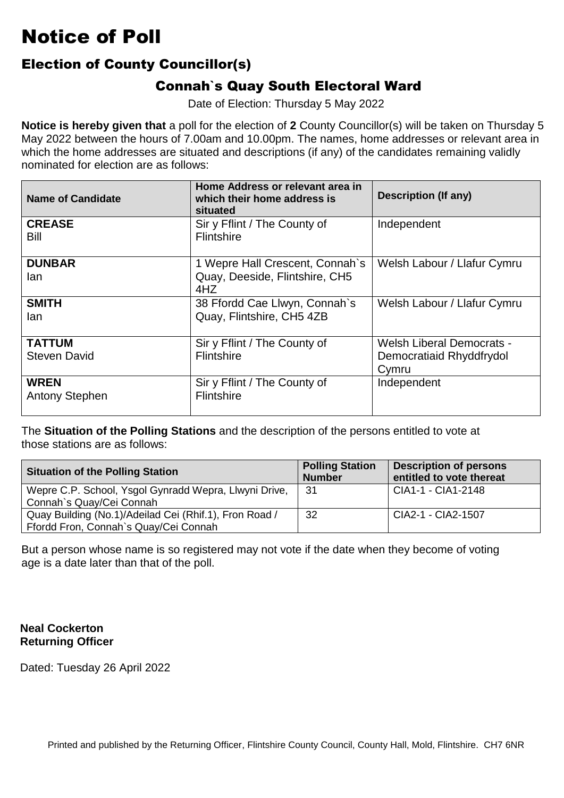#### Election of County Councillor(s)

#### Connah`s Quay South Electoral Ward

Date of Election: Thursday 5 May 2022

 **Notice is hereby given that** a poll for the election of **2** County Councillor(s) will be taken on Thursday 5 which the home addresses are situated and descriptions (if any) of the candidates remaining validly nominated for election are as follows: May 2022 between the hours of 7.00am and 10.00pm. The names, home addresses or relevant area in

| Name of Candidate                    | Home Address or relevant area in<br>which their home address is<br>situated | <b>Description (If any)</b>                                           |
|--------------------------------------|-----------------------------------------------------------------------------|-----------------------------------------------------------------------|
| <b>CREASE</b><br><b>Bill</b>         | Sir y Fflint / The County of<br><b>Flintshire</b>                           | Independent                                                           |
| <b>DUNBAR</b><br>lan                 | 1 Wepre Hall Crescent, Connah's<br>Quay, Deeside, Flintshire, CH5<br>4HZ    | Welsh Labour / Llafur Cymru                                           |
| <b>SMITH</b><br>lan                  | 38 Ffordd Cae Llwyn, Connah's<br>Quay, Flintshire, CH5 4ZB                  | Welsh Labour / Llafur Cymru                                           |
| <b>TATTUM</b><br><b>Steven David</b> | Sir y Fflint / The County of<br>Flintshire                                  | <b>Welsh Liberal Democrats -</b><br>Democratiaid Rhyddfrydol<br>Cymru |
| <b>WREN</b><br><b>Antony Stephen</b> | Sir y Fflint / The County of<br>Flintshire                                  | Independent                                                           |

 The **Situation of the Polling Stations** and the description of the persons entitled to vote at those stations are as follows:

| <b>Situation of the Polling Station</b>                                                         | <b>Polling Station</b><br><b>Number</b> | <b>Description of persons</b><br>entitled to vote thereat |
|-------------------------------------------------------------------------------------------------|-----------------------------------------|-----------------------------------------------------------|
| Wepre C.P. School, Ysgol Gynradd Wepra, Llwyni Drive,<br>Connah's Quay/Cei Connah               | -31                                     | CIA1-1 - CIA1-2148                                        |
| Quay Building (No.1)/Adeilad Cei (Rhif.1), Fron Road /<br>Ffordd Fron, Connah's Quay/Cei Connah | 32                                      | CIA2-1 - CIA2-1507                                        |

But a person whose name is so registered may not vote if the date when they become of voting<br>age is a date later than that of the poll. age is a date later than that of the poll.

#### **Neal Cockerton Returning Officer**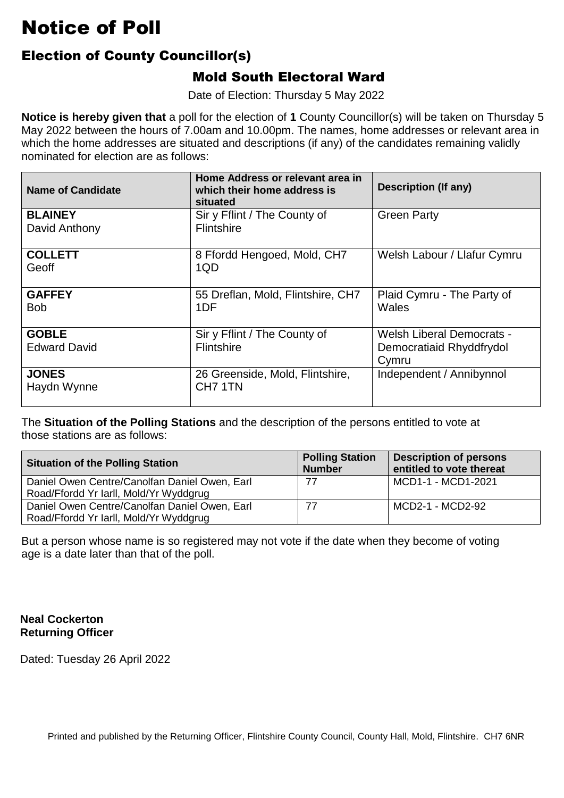### Election of County Councillor(s)

#### Mold South Electoral Ward

Date of Election: Thursday 5 May 2022

 **Notice is hereby given that** a poll for the election of **1** County Councillor(s) will be taken on Thursday 5 which the home addresses are situated and descriptions (if any) of the candidates remaining validly nominated for election are as follows: May 2022 between the hours of 7.00am and 10.00pm. The names, home addresses or relevant area in

| Name of Candidate                   | Home Address or relevant area in<br>which their home address is<br>situated | <b>Description (If any)</b>                                    |
|-------------------------------------|-----------------------------------------------------------------------------|----------------------------------------------------------------|
| <b>BLAINEY</b><br>David Anthony     | Sir y Fflint / The County of<br>Flintshire                                  | <b>Green Party</b>                                             |
| <b>COLLETT</b><br>Geoff             | 8 Ffordd Hengoed, Mold, CH7<br>1QD                                          | Welsh Labour / Llafur Cymru                                    |
| <b>GAFFEY</b><br><b>Bob</b>         | 55 Dreflan, Mold, Flintshire, CH7<br>1DF                                    | Plaid Cymru - The Party of<br>Wales                            |
| <b>GOBLE</b><br><b>Edward David</b> | Sir y Fflint / The County of<br>Flintshire                                  | Welsh Liberal Democrats -<br>Democratiaid Rhyddfrydol<br>Cymru |
| <b>JONES</b><br>Haydn Wynne         | 26 Greenside, Mold, Flintshire,<br>CH <sub>7</sub> 1TN                      | Independent / Annibynnol                                       |

 The **Situation of the Polling Stations** and the description of the persons entitled to vote at those stations are as follows:

| <b>Situation of the Polling Station</b>                                                 | <b>Polling Station</b><br><b>Number</b> | <b>Description of persons</b><br>entitled to vote thereat |
|-----------------------------------------------------------------------------------------|-----------------------------------------|-----------------------------------------------------------|
| Daniel Owen Centre/Canolfan Daniel Owen, Earl<br>Road/Ffordd Yr Iarll, Mold/Yr Wyddgrug | 77                                      | MCD1-1 - MCD1-2021                                        |
| Daniel Owen Centre/Canolfan Daniel Owen, Earl<br>Road/Ffordd Yr Iarll, Mold/Yr Wyddgrug | 77                                      | MCD2-1 - MCD2-92                                          |

But a person whose name is so registered may not vote if the date when they become of voting<br>age is a date later than that of the poll. age is a date later than that of the poll.

#### **Neal Cockerton Returning Officer**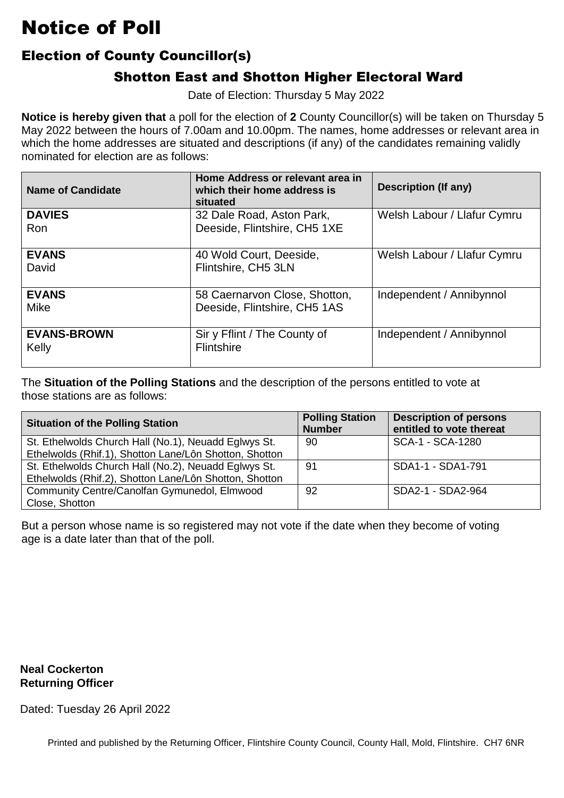### Election of County Councillor(s)

### Shotton East and Shotton Higher Electoral Ward

Date of Election: Thursday 5 May 2022

 **Notice is hereby given that** a poll for the election of **2** County Councillor(s) will be taken on Thursday 5 which the home addresses are situated and descriptions (if any) of the candidates remaining validly nominated for election are as follows: May 2022 between the hours of 7.00am and 10.00pm. The names, home addresses or relevant area in

| <b>Name of Candidate</b>    | Home Address or relevant area in<br>which their home address is<br>situated | <b>Description (If any)</b> |
|-----------------------------|-----------------------------------------------------------------------------|-----------------------------|
| <b>DAVIES</b><br>Ron        | 32 Dale Road, Aston Park,<br>Deeside, Flintshire, CH5 1XE                   | Welsh Labour / Llafur Cymru |
| <b>EVANS</b><br>David       | 40 Wold Court, Deeside,<br>Flintshire, CH5 3LN                              | Welsh Labour / Llafur Cymru |
| <b>EVANS</b><br><b>Mike</b> | 58 Caernarvon Close, Shotton,<br>Deeside, Flintshire, CH5 1AS               | Independent / Annibynnol    |
| <b>EVANS-BROWN</b><br>Kelly | Sir y Fflint / The County of<br><b>Flintshire</b>                           | Independent / Annibynnol    |

 The **Situation of the Polling Stations** and the description of the persons entitled to vote at those stations are as follows:

| <b>Situation of the Polling Station</b>                | <b>Polling Station</b><br><b>Number</b> | <b>Description of persons</b><br>entitled to vote thereat |
|--------------------------------------------------------|-----------------------------------------|-----------------------------------------------------------|
| St. Ethelwolds Church Hall (No.1), Neuadd Eglwys St.   | 90                                      | SCA-1 - SCA-1280                                          |
| Ethelwolds (Rhif.1), Shotton Lane/Lôn Shotton, Shotton |                                         |                                                           |
| St. Ethelwolds Church Hall (No.2), Neuadd Eglwys St.   | -91                                     | SDA1-1 - SDA1-791                                         |
| Ethelwolds (Rhif.2), Shotton Lane/Lôn Shotton, Shotton |                                         |                                                           |
| Community Centre/Canolfan Gymunedol, Elmwood           | 92                                      | SDA2-1 - SDA2-964                                         |
| Close, Shotton                                         |                                         |                                                           |

But a person whose name is so registered may not vote if the date when they become of voting<br>age is a date later than that of the poll. age is a date later than that of the poll.

#### **Neal Cockerton Returning Officer**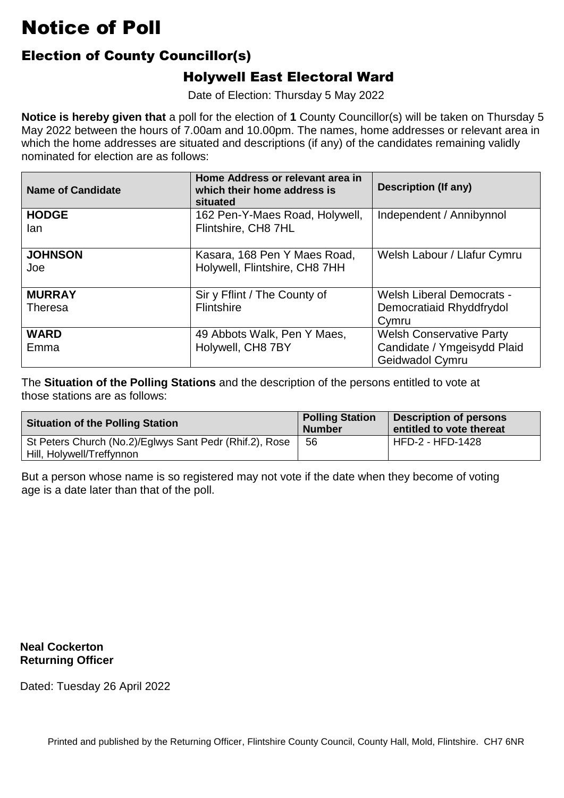### Election of County Councillor(s)

#### Holywell East Electoral Ward

Date of Election: Thursday 5 May 2022

 **Notice is hereby given that** a poll for the election of **1** County Councillor(s) will be taken on Thursday 5 which the home addresses are situated and descriptions (if any) of the candidates remaining validly nominated for election are as follows: May 2022 between the hours of 7.00am and 10.00pm. The names, home addresses or relevant area in

| <b>Name of Candidate</b> | Home Address or relevant area in<br>which their home address is<br>situated | <b>Description (If any)</b>                    |
|--------------------------|-----------------------------------------------------------------------------|------------------------------------------------|
| <b>HODGE</b><br>lan      | 162 Pen-Y-Maes Road, Holywell,<br>Flintshire, CH8 7HL                       | Independent / Annibynnol                       |
| <b>JOHNSON</b><br>Joe    | Kasara, 168 Pen Y Maes Road,<br>Holywell, Flintshire, CH8 7HH               | Welsh Labour / Llafur Cymru                    |
| <b>MURRAY</b>            | Sir y Fflint / The County of                                                | <b>Welsh Liberal Democrats -</b>               |
| <b>Theresa</b>           | Flintshire                                                                  | Democratiaid Rhyddfrydol<br>Cymru              |
| <b>WARD</b>              | 49 Abbots Walk, Pen Y Maes,                                                 | <b>Welsh Conservative Party</b>                |
| Emma                     | Holywell, CH8 7BY                                                           | Candidate / Ymgeisydd Plaid<br>Geidwadol Cymru |

 The **Situation of the Polling Stations** and the description of the persons entitled to vote at those stations are as follows:

| <b>Situation of the Polling Station</b>                 | <b>Polling Station</b><br><b>Number</b> | <b>Description of persons</b><br>entitled to vote thereat |
|---------------------------------------------------------|-----------------------------------------|-----------------------------------------------------------|
| St Peters Church (No.2)/Eglwys Sant Pedr (Rhif.2), Rose | 56                                      | HFD-2 - HFD-1428                                          |
| Hill, Holywell/Treffynnon                               |                                         |                                                           |

But a person whose name is so registered may not vote if the date when they become of voting<br>age is a date later than that of the poll. age is a date later than that of the poll.

**Neal Cockerton Returning Officer**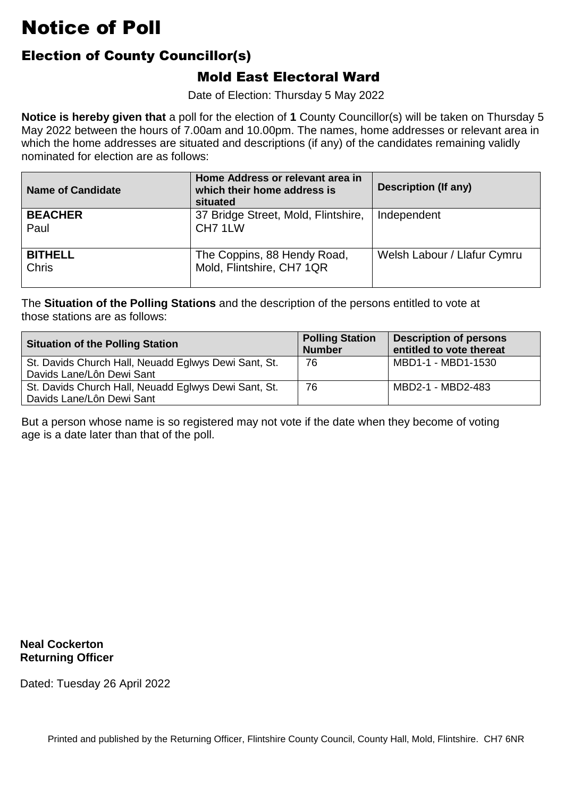### Election of County Councillor(s)

#### Mold East Electoral Ward

Date of Election: Thursday 5 May 2022

 **Notice is hereby given that** a poll for the election of **1** County Councillor(s) will be taken on Thursday 5 which the home addresses are situated and descriptions (if any) of the candidates remaining validly nominated for election are as follows: May 2022 between the hours of 7.00am and 10.00pm. The names, home addresses or relevant area in

| <b>Name of Candidate</b>       | Home Address or relevant area in<br>which their home address is<br>situated | <b>Description (If any)</b> |
|--------------------------------|-----------------------------------------------------------------------------|-----------------------------|
| <b>BEACHER</b><br>Paul         | 37 Bridge Street, Mold, Flintshire,<br>CH <sub>7</sub> 1LW                  | Independent                 |
| <b>BITHELL</b><br><b>Chris</b> | The Coppins, 88 Hendy Road,<br>Mold, Flintshire, CH7 1QR                    | Welsh Labour / Llafur Cymru |

 The **Situation of the Polling Stations** and the description of the persons entitled to vote at those stations are as follows:

| <b>Situation of the Polling Station</b>                                           | <b>Polling Station</b><br><b>Number</b> | <b>Description of persons</b><br>entitled to vote thereat |
|-----------------------------------------------------------------------------------|-----------------------------------------|-----------------------------------------------------------|
| St. Davids Church Hall, Neuadd Eglwys Dewi Sant, St.<br>Davids Lane/Lôn Dewi Sant | 76                                      | MBD1-1 - MBD1-1530                                        |
| St. Davids Church Hall, Neuadd Eglwys Dewi Sant, St.<br>Davids Lane/Lôn Dewi Sant | 76                                      | MBD2-1 - MBD2-483                                         |

But a person whose name is so registered may not vote if the date when they become of voting<br>age is a date later than that of the poll. age is a date later than that of the poll.

**Neal Cockerton Returning Officer**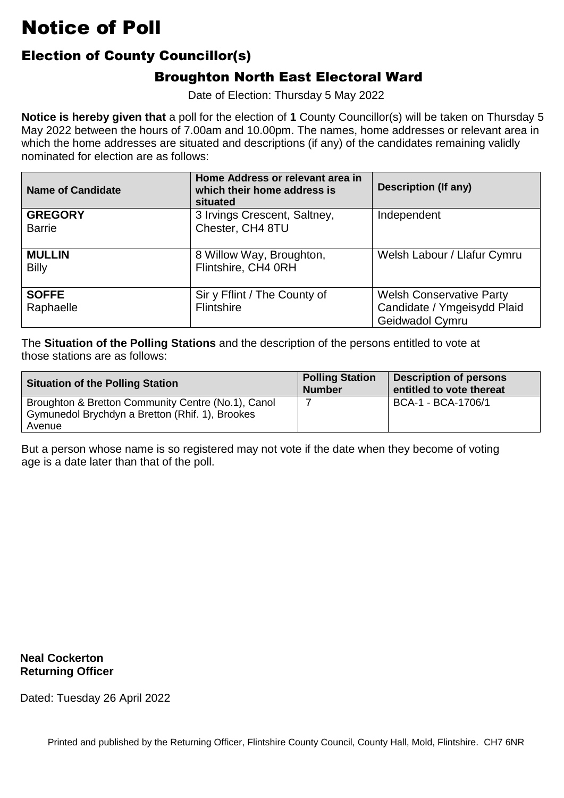### Election of County Councillor(s)

### Broughton North East Electoral Ward

Date of Election: Thursday 5 May 2022

 **Notice is hereby given that** a poll for the election of **1** County Councillor(s) will be taken on Thursday 5 which the home addresses are situated and descriptions (if any) of the candidates remaining validly nominated for election are as follows: May 2022 between the hours of 7.00am and 10.00pm. The names, home addresses or relevant area in

| <b>Name of Candidate</b>        | Home Address or relevant area in<br>which their home address is<br>situated | <b>Description (If any)</b>                                                       |
|---------------------------------|-----------------------------------------------------------------------------|-----------------------------------------------------------------------------------|
| <b>GREGORY</b><br><b>Barrie</b> | 3 Irvings Crescent, Saltney,<br>Chester, CH4 8TU                            | Independent                                                                       |
| <b>MULLIN</b><br><b>Billy</b>   | 8 Willow Way, Broughton,<br>Flintshire, CH4 0RH                             | Welsh Labour / Llafur Cymru                                                       |
| <b>SOFFE</b><br>Raphaelle       | Sir y Fflint / The County of<br>Flintshire                                  | <b>Welsh Conservative Party</b><br>Candidate / Ymgeisydd Plaid<br>Geidwadol Cymru |

 The **Situation of the Polling Stations** and the description of the persons entitled to vote at those stations are as follows:

| <b>Situation of the Polling Station</b>                                                                         | <b>Polling Station</b><br><b>Number</b> | <b>Description of persons</b><br>entitled to vote thereat |
|-----------------------------------------------------------------------------------------------------------------|-----------------------------------------|-----------------------------------------------------------|
| Broughton & Bretton Community Centre (No.1), Canol<br>Gymunedol Brychdyn a Bretton (Rhif. 1), Brookes<br>Avenue |                                         | BCA-1 - BCA-1706/1                                        |

But a person whose name is so registered may not vote if the date when they become of voting<br>age is a date later than that of the poll. age is a date later than that of the poll.

**Neal Cockerton Returning Officer**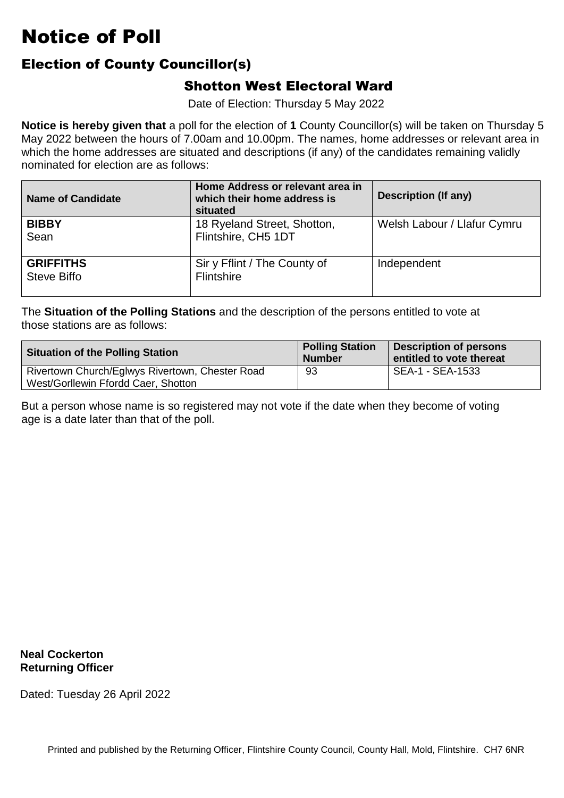#### Election of County Councillor(s)

#### Shotton West Electoral Ward

Date of Election: Thursday 5 May 2022

 **Notice is hereby given that** a poll for the election of **1** County Councillor(s) will be taken on Thursday 5 which the home addresses are situated and descriptions (if any) of the candidates remaining validly nominated for election are as follows: May 2022 between the hours of 7.00am and 10.00pm. The names, home addresses or relevant area in

| <b>Name of Candidate</b>        | Home Address or relevant area in<br>which their home address is<br>situated | <b>Description (If any)</b> |
|---------------------------------|-----------------------------------------------------------------------------|-----------------------------|
| <b>BIBBY</b><br>Sean            | 18 Ryeland Street, Shotton,<br>Flintshire, CH5 1DT                          | Welsh Labour / Llafur Cymru |
| <b>GRIFFITHS</b><br>Steve Biffo | Sir y Fflint / The County of<br>Flintshire                                  | Independent                 |

 The **Situation of the Polling Stations** and the description of the persons entitled to vote at those stations are as follows:

| <b>Situation of the Polling Station</b>                                                | <b>Polling Station</b><br><b>Number</b> | Description of persons<br>entitled to vote thereat |
|----------------------------------------------------------------------------------------|-----------------------------------------|----------------------------------------------------|
| Rivertown Church/Eglwys Rivertown, Chester Road<br>West/Gorllewin Ffordd Caer, Shotton | 93                                      | l SEA-1 - SEA-1533                                 |

But a person whose name is so registered may not vote if the date when they become of voting<br>age is a date later than that of the poll. age is a date later than that of the poll.

**Neal Cockerton Returning Officer**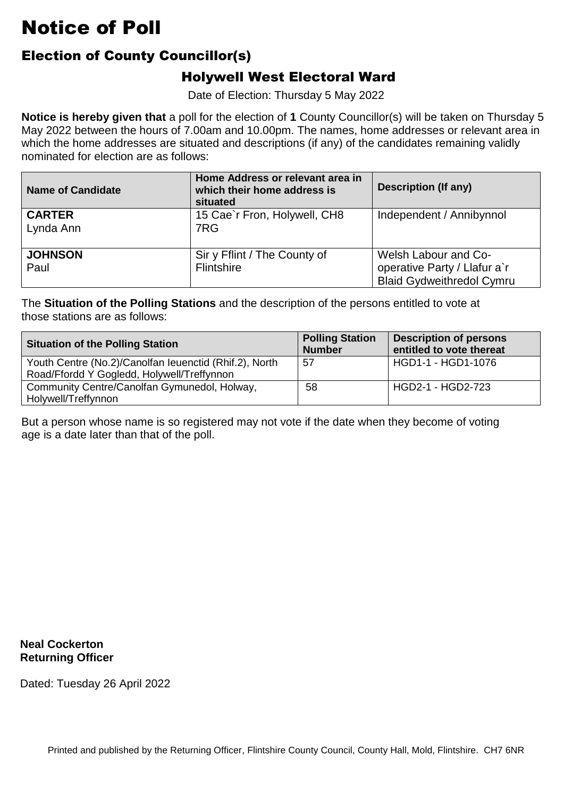### Election of County Councillor(s)

#### Holywell West Electoral Ward

Date of Election: Thursday 5 May 2022

 **Notice is hereby given that** a poll for the election of **1** County Councillor(s) will be taken on Thursday 5 which the home addresses are situated and descriptions (if any) of the candidates remaining validly nominated for election are as follows: May 2022 between the hours of 7.00am and 10.00pm. The names, home addresses or relevant area in

| <b>Name of Candidate</b>   | Home Address or relevant area in<br>which their home address is<br>situated | <b>Description (If any)</b>                                                              |
|----------------------------|-----------------------------------------------------------------------------|------------------------------------------------------------------------------------------|
| <b>CARTER</b><br>Lynda Ann | 15 Cae'r Fron, Holywell, CH8<br>7RG                                         | Independent / Annibynnol                                                                 |
| <b>JOHNSON</b><br>Paul     | Sir y Fflint / The County of<br><b>Flintshire</b>                           | Welsh Labour and Co-<br>operative Party / Llafur a'r<br><b>Blaid Gydweithredol Cymru</b> |

 The **Situation of the Polling Stations** and the description of the persons entitled to vote at those stations are as follows:

| <b>Situation of the Polling Station</b>                                                              | <b>Polling Station</b><br><b>Number</b> | <b>Description of persons</b><br>entitled to vote thereat |
|------------------------------------------------------------------------------------------------------|-----------------------------------------|-----------------------------------------------------------|
| Youth Centre (No.2)/Canolfan leuenctid (Rhif.2), North<br>Road/Ffordd Y Gogledd, Holywell/Treffynnon | 57                                      | HGD1-1 - HGD1-1076                                        |
| Community Centre/Canolfan Gymunedol, Holway,<br>Holywell/Treffynnon                                  | 58                                      | HGD2-1 - HGD2-723                                         |

But a person whose name is so registered may not vote if the date when they become of voting<br>age is a date later than that of the poll. age is a date later than that of the poll.

**Neal Cockerton Returning Officer**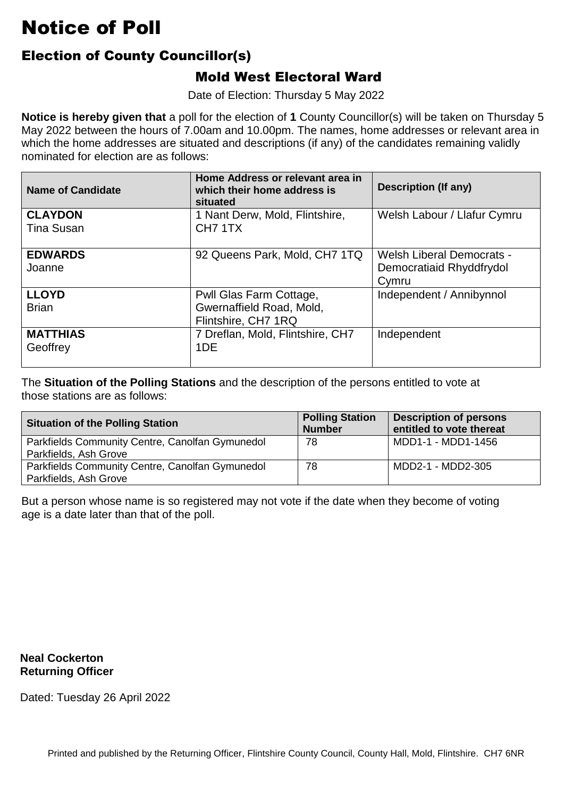### Election of County Councillor(s)

#### Mold West Electoral Ward

Date of Election: Thursday 5 May 2022

 **Notice is hereby given that** a poll for the election of **1** County Councillor(s) will be taken on Thursday 5 which the home addresses are situated and descriptions (if any) of the candidates remaining validly nominated for election are as follows: May 2022 between the hours of 7.00am and 10.00pm. The names, home addresses or relevant area in

| <b>Name of Candidate</b>            | Home Address or relevant area in<br>which their home address is<br>situated | <b>Description (If any)</b>                                           |
|-------------------------------------|-----------------------------------------------------------------------------|-----------------------------------------------------------------------|
| <b>CLAYDON</b><br><b>Tina Susan</b> | 1 Nant Derw, Mold, Flintshire,<br>CH <sub>7</sub> 1TX                       | Welsh Labour / Llafur Cymru                                           |
| <b>EDWARDS</b><br>Joanne            | 92 Queens Park, Mold, CH7 1TQ                                               | <b>Welsh Liberal Democrats -</b><br>Democratiaid Rhyddfrydol<br>Cymru |
| <b>LLOYD</b><br><b>Brian</b>        | Pwll Glas Farm Cottage,<br>Gwernaffield Road, Mold,<br>Flintshire, CH7 1RQ  | Independent / Annibynnol                                              |
| <b>MATTHIAS</b><br>Geoffrey         | 7 Dreflan, Mold, Flintshire, CH7<br>1DE                                     | Independent                                                           |

 The **Situation of the Polling Stations** and the description of the persons entitled to vote at those stations are as follows:

| <b>Situation of the Polling Station</b>                                  | <b>Polling Station</b><br><b>Number</b> | <b>Description of persons</b><br>entitled to vote thereat |
|--------------------------------------------------------------------------|-----------------------------------------|-----------------------------------------------------------|
| Parkfields Community Centre, Canolfan Gymunedol<br>Parkfields, Ash Grove | 78                                      | MDD1-1 - MDD1-1456                                        |
| Parkfields Community Centre, Canolfan Gymunedol<br>Parkfields, Ash Grove | 78                                      | MDD2-1 - MDD2-305                                         |

But a person whose name is so registered may not vote if the date when they become of voting<br>age is a date later than that of the poll. age is a date later than that of the poll.

**Neal Cockerton Returning Officer**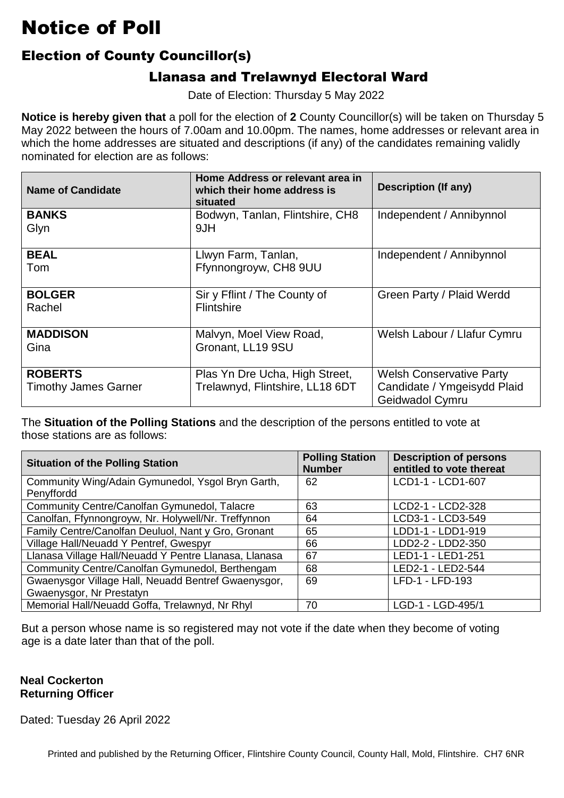#### Election of County Councillor(s)

#### Llanasa and Trelawnyd Electoral Ward

Date of Election: Thursday 5 May 2022

 **Notice is hereby given that** a poll for the election of **2** County Councillor(s) will be taken on Thursday 5 which the home addresses are situated and descriptions (if any) of the candidates remaining validly nominated for election are as follows: May 2022 between the hours of 7.00am and 10.00pm. The names, home addresses or relevant area in

| <b>Name of Candidate</b>                      | Home Address or relevant area in<br>which their home address is<br>situated | <b>Description (If any)</b>                                                       |
|-----------------------------------------------|-----------------------------------------------------------------------------|-----------------------------------------------------------------------------------|
| <b>BANKS</b><br>Glyn                          | Bodwyn, Tanlan, Flintshire, CH8<br>9JH                                      | Independent / Annibynnol                                                          |
| <b>BEAL</b><br>Tom                            | Llwyn Farm, Tanlan,<br>Ffynnongroyw, CH8 9UU                                | Independent / Annibynnol                                                          |
| <b>BOLGER</b><br>Rachel                       | Sir y Fflint / The County of<br>Flintshire                                  | Green Party / Plaid Werdd                                                         |
| <b>MADDISON</b><br>Gina                       | Malvyn, Moel View Road,<br>Gronant, LL19 9SU                                | Welsh Labour / Llafur Cymru                                                       |
| <b>ROBERTS</b><br><b>Timothy James Garner</b> | Plas Yn Dre Ucha, High Street,<br>Trelawnyd, Flintshire, LL18 6DT           | <b>Welsh Conservative Party</b><br>Candidate / Ymgeisydd Plaid<br>Geidwadol Cymru |

 The **Situation of the Polling Stations** and the description of the persons entitled to vote at those stations are as follows:

| <b>Situation of the Polling Station</b>               | <b>Polling Station</b><br><b>Number</b> | <b>Description of persons</b><br>entitled to vote thereat |
|-------------------------------------------------------|-----------------------------------------|-----------------------------------------------------------|
| Community Wing/Adain Gymunedol, Ysgol Bryn Garth,     | 62                                      | LCD1-1 - LCD1-607                                         |
| Penyffordd                                            |                                         |                                                           |
| Community Centre/Canolfan Gymunedol, Talacre          | 63                                      | LCD2-1 - LCD2-328                                         |
| Canolfan, Ffynnongroyw, Nr. Holywell/Nr. Treffynnon   | 64                                      | LCD3-1 - LCD3-549                                         |
| Family Centre/Canolfan Deuluol, Nant y Gro, Gronant   | 65                                      | LDD1-1 - LDD1-919                                         |
| Village Hall/Neuadd Y Pentref, Gwespyr                | 66                                      | LDD2-2 - LDD2-350                                         |
| Llanasa Village Hall/Neuadd Y Pentre Llanasa, Llanasa | 67                                      | LED1-1 - LED1-251                                         |
| Community Centre/Canolfan Gymunedol, Berthengam       | 68                                      | LED2-1 - LED2-544                                         |
| Gwaenysgor Village Hall, Neuadd Bentref Gwaenysgor,   | 69                                      | LFD-1 - LFD-193                                           |
| Gwaenysgor, Nr Prestatyn                              |                                         |                                                           |
| Memorial Hall/Neuadd Goffa, Trelawnyd, Nr Rhyl        | 70                                      | LGD-1 - LGD-495/1                                         |

 But a person whose name is so registered may not vote if the date when they become of voting age is a date later than that of the poll.

#### **Neal Cockerton Returning Officer**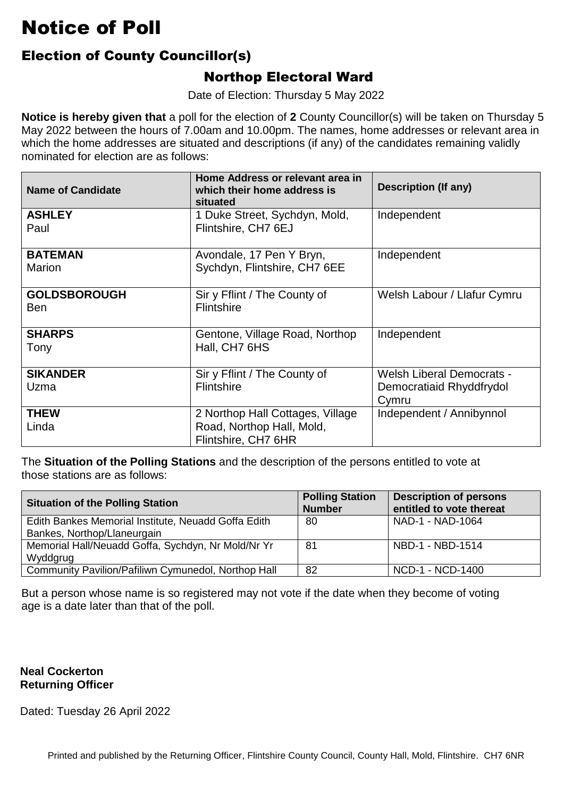### Election of County Councillor(s)

#### Northop Electoral Ward

Date of Election: Thursday 5 May 2022

 **Notice is hereby given that** a poll for the election of **2** County Councillor(s) will be taken on Thursday 5 which the home addresses are situated and descriptions (if any) of the candidates remaining validly nominated for election are as follows: May 2022 between the hours of 7.00am and 10.00pm. The names, home addresses or relevant area in

| <b>Name of Candidate</b>          | Home Address or relevant area in<br>which their home address is<br>situated          | <b>Description (If any)</b>                                           |
|-----------------------------------|--------------------------------------------------------------------------------------|-----------------------------------------------------------------------|
| <b>ASHLEY</b><br>Paul             | 1 Duke Street, Sychdyn, Mold,<br>Flintshire, CH7 6EJ                                 | Independent                                                           |
| <b>BATEMAN</b><br>Marion          | Avondale, 17 Pen Y Bryn,<br>Sychdyn, Flintshire, CH7 6EE                             | Independent                                                           |
| <b>GOLDSBOROUGH</b><br><b>Ben</b> | Sir y Fflint / The County of<br><b>Flintshire</b>                                    | Welsh Labour / Llafur Cymru                                           |
| <b>SHARPS</b><br>Tony             | Gentone, Village Road, Northop<br>Hall, CH7 6HS                                      | Independent                                                           |
| <b>SIKANDER</b><br>Uzma           | Sir y Fflint / The County of<br>Flintshire                                           | <b>Welsh Liberal Democrats -</b><br>Democratiaid Rhyddfrydol<br>Cymru |
| <b>THEW</b><br>Linda              | 2 Northop Hall Cottages, Village<br>Road, Northop Hall, Mold,<br>Flintshire, CH7 6HR | Independent / Annibynnol                                              |

 The **Situation of the Polling Stations** and the description of the persons entitled to vote at those stations are as follows:

| <b>Situation of the Polling Station</b>                                            | <b>Polling Station</b><br><b>Number</b> | <b>Description of persons</b><br>entitled to vote thereat |
|------------------------------------------------------------------------------------|-----------------------------------------|-----------------------------------------------------------|
| Edith Bankes Memorial Institute, Neuadd Goffa Edith<br>Bankes, Northop/Llaneurgain | 80                                      | NAD-1 - NAD-1064                                          |
| Memorial Hall/Neuadd Goffa, Sychdyn, Nr Mold/Nr Yr                                 | 81                                      | NBD-1 - NBD-1514                                          |
| Wyddgrug                                                                           |                                         |                                                           |
| Community Pavilion/Pafiliwn Cymunedol, Northop Hall                                | 82                                      | NCD-1 - NCD-1400                                          |

But a person whose name is so registered may not vote if the date when they become of voting<br>age is a date later than that of the poll. age is a date later than that of the poll.

#### **Neal Cockerton Returning Officer**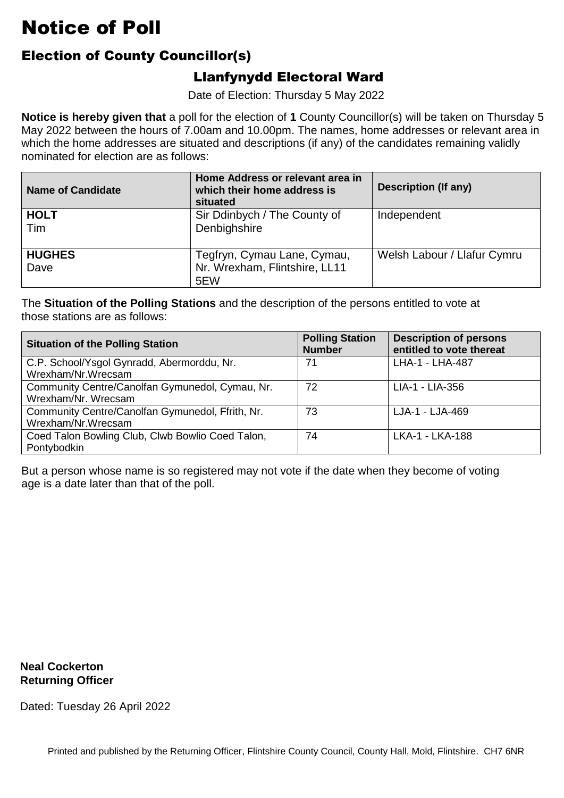### Election of County Councillor(s)

### Llanfynydd Electoral Ward

Date of Election: Thursday 5 May 2022

 **Notice is hereby given that** a poll for the election of **1** County Councillor(s) will be taken on Thursday 5 which the home addresses are situated and descriptions (if any) of the candidates remaining validly nominated for election are as follows: May 2022 between the hours of 7.00am and 10.00pm. The names, home addresses or relevant area in

| <b>Name of Candidate</b> | Home Address or relevant area in<br>which their home address is<br>situated | Description (If any)        |
|--------------------------|-----------------------------------------------------------------------------|-----------------------------|
| <b>HOLT</b><br>Tim       | Sir Ddinbych / The County of<br>Denbighshire                                | Independent                 |
| <b>HUGHES</b><br>Dave    | Tegfryn, Cymau Lane, Cymau,<br>Nr. Wrexham, Flintshire, LL11<br>5EW         | Welsh Labour / Llafur Cymru |

 The **Situation of the Polling Stations** and the description of the persons entitled to vote at those stations are as follows:

| <b>Situation of the Polling Station</b>          | <b>Polling Station</b><br><b>Number</b> | <b>Description of persons</b><br>entitled to vote thereat |
|--------------------------------------------------|-----------------------------------------|-----------------------------------------------------------|
| C.P. School/Ysgol Gynradd, Abermorddu, Nr.       | 71                                      | LHA-1 - LHA-487                                           |
| Wrexham/Nr.Wrecsam                               |                                         |                                                           |
| Community Centre/Canolfan Gymunedol, Cymau, Nr.  | 72                                      | LIA-1 - LIA-356                                           |
| Wrexham/Nr. Wrecsam                              |                                         |                                                           |
| Community Centre/Canolfan Gymunedol, Ffrith, Nr. | 73                                      | LJA-1 - LJA-469                                           |
| Wrexham/Nr.Wrecsam                               |                                         |                                                           |
| Coed Talon Bowling Club, Clwb Bowlio Coed Talon, | 74                                      | LKA-1 - LKA-188                                           |
| Pontybodkin                                      |                                         |                                                           |

But a person whose name is so registered may not vote if the date when they become of voting<br>age is a date later than that of the poll. age is a date later than that of the poll.

**Neal Cockerton Returning Officer**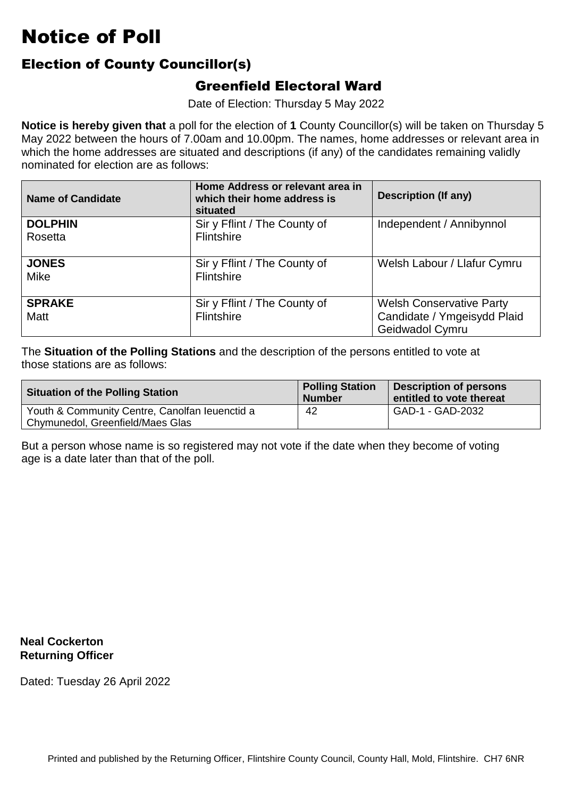#### Election of County Councillor(s)

#### Greenfield Electoral Ward

Date of Election: Thursday 5 May 2022

 **Notice is hereby given that** a poll for the election of **1** County Councillor(s) will be taken on Thursday 5 which the home addresses are situated and descriptions (if any) of the candidates remaining validly nominated for election are as follows: May 2022 between the hours of 7.00am and 10.00pm. The names, home addresses or relevant area in

| <b>Name of Candidate</b> | Home Address or relevant area in<br>which their home address is<br>situated | <b>Description (If any)</b>                                                       |
|--------------------------|-----------------------------------------------------------------------------|-----------------------------------------------------------------------------------|
| <b>DOLPHIN</b>           | Sir y Fflint / The County of                                                | Independent / Annibynnol                                                          |
| Rosetta                  | Flintshire                                                                  |                                                                                   |
| <b>JONES</b><br>Mike     | Sir y Fflint / The County of<br>Flintshire                                  | Welsh Labour / Llafur Cymru                                                       |
| <b>SPRAKE</b><br>Matt    | Sir y Fflint / The County of<br>Flintshire                                  | <b>Welsh Conservative Party</b><br>Candidate / Ymgeisydd Plaid<br>Geidwadol Cymru |

 The **Situation of the Polling Stations** and the description of the persons entitled to vote at those stations are as follows:

| <b>Situation of the Polling Station</b>                                            | <b>Polling Station</b><br><b>Number</b> | <b>Description of persons</b><br>entitled to vote thereat |
|------------------------------------------------------------------------------------|-----------------------------------------|-----------------------------------------------------------|
| Youth & Community Centre, Canolfan leuenctid a<br>Chymunedol, Greenfield/Maes Glas | 42                                      | GAD-1 - GAD-2032                                          |

But a person whose name is so registered may not vote if the date when they become of voting<br>age is a date later than that of the poll. age is a date later than that of the poll.

**Neal Cockerton Returning Officer**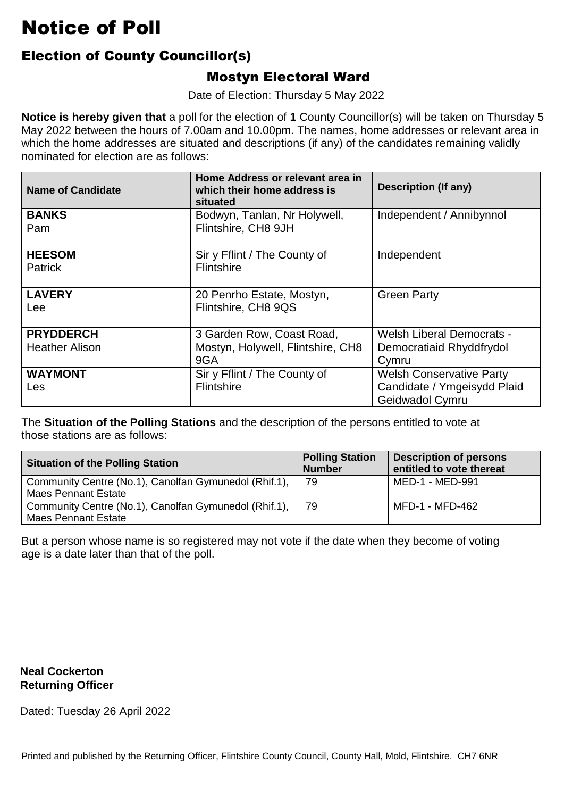### Election of County Councillor(s)

#### Mostyn Electoral Ward

Date of Election: Thursday 5 May 2022

 **Notice is hereby given that** a poll for the election of **1** County Councillor(s) will be taken on Thursday 5 which the home addresses are situated and descriptions (if any) of the candidates remaining validly nominated for election are as follows: May 2022 between the hours of 7.00am and 10.00pm. The names, home addresses or relevant area in

| <b>Name of Candidate</b>                  | Home Address or relevant area in<br>which their home address is<br>situated | <b>Description (If any)</b>                                                       |
|-------------------------------------------|-----------------------------------------------------------------------------|-----------------------------------------------------------------------------------|
| <b>BANKS</b><br>Pam                       | Bodwyn, Tanlan, Nr Holywell,<br>Flintshire, CH8 9JH                         | Independent / Annibynnol                                                          |
| <b>HEESOM</b><br><b>Patrick</b>           | Sir y Fflint / The County of<br>Flintshire                                  | Independent                                                                       |
| <b>LAVERY</b><br>Lee                      | 20 Penrho Estate, Mostyn,<br>Flintshire, CH8 9QS                            | <b>Green Party</b>                                                                |
| <b>PRYDDERCH</b><br><b>Heather Alison</b> | 3 Garden Row, Coast Road,<br>Mostyn, Holywell, Flintshire, CH8<br>9GA       | <b>Welsh Liberal Democrats -</b><br>Democratiaid Rhyddfrydol<br>Cymru             |
| <b>WAYMONT</b><br>Les                     | Sir y Fflint / The County of<br>Flintshire                                  | <b>Welsh Conservative Party</b><br>Candidate / Ymgeisydd Plaid<br>Geidwadol Cymru |

 The **Situation of the Polling Stations** and the description of the persons entitled to vote at those stations are as follows:

| <b>Situation of the Polling Station</b>               | <b>Polling Station</b><br><b>Number</b> | <b>Description of persons</b><br>entitled to vote thereat |
|-------------------------------------------------------|-----------------------------------------|-----------------------------------------------------------|
| Community Centre (No.1), Canolfan Gymunedol (Rhif.1), | 79                                      | MED-1 - MED-991                                           |
| <b>Maes Pennant Estate</b>                            |                                         |                                                           |
| Community Centre (No.1), Canolfan Gymunedol (Rhif.1), | 79                                      | MFD-1 - MFD-462                                           |
| <b>Maes Pennant Estate</b>                            |                                         |                                                           |

But a person whose name is so registered may not vote if the date when they become of voting<br>age is a date later than that of the poll. age is a date later than that of the poll.

#### **Neal Cockerton Returning Officer**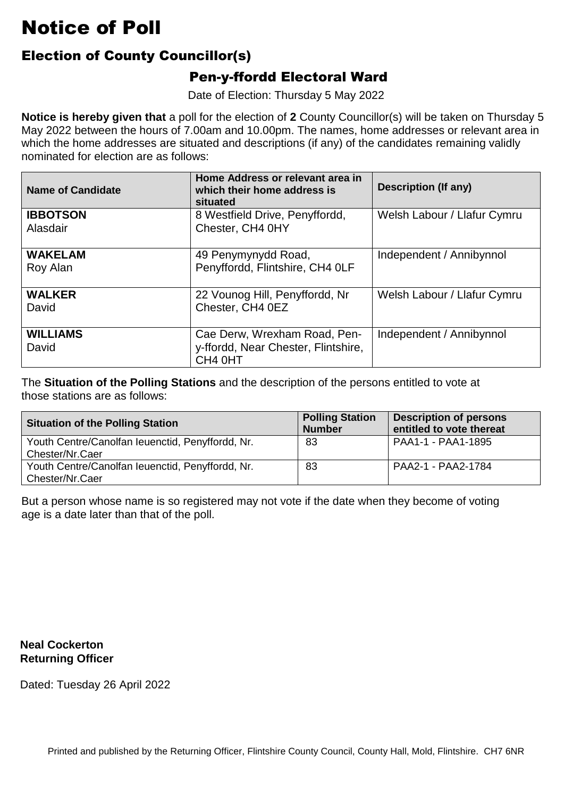### Election of County Councillor(s)

#### Pen-y-ffordd Electoral Ward

Date of Election: Thursday 5 May 2022

 **Notice is hereby given that** a poll for the election of **2** County Councillor(s) will be taken on Thursday 5 which the home addresses are situated and descriptions (if any) of the candidates remaining validly nominated for election are as follows: May 2022 between the hours of 7.00am and 10.00pm. The names, home addresses or relevant area in

| <b>Name of Candidate</b>    | Home Address or relevant area in<br>which their home address is<br>situated    | <b>Description (If any)</b> |
|-----------------------------|--------------------------------------------------------------------------------|-----------------------------|
| <b>IBBOTSON</b><br>Alasdair | 8 Westfield Drive, Penyffordd,<br>Chester, CH4 0HY                             | Welsh Labour / Llafur Cymru |
| <b>WAKELAM</b><br>Roy Alan  | 49 Penymynydd Road,<br>Penyffordd, Flintshire, CH4 OLF                         | Independent / Annibynnol    |
| <b>WALKER</b><br>David      | 22 Vounog Hill, Penyffordd, Nr<br>Chester, CH4 0EZ                             | Welsh Labour / Llafur Cymru |
| <b>WILLIAMS</b><br>David    | Cae Derw, Wrexham Road, Pen-<br>y-ffordd, Near Chester, Flintshire,<br>CH4 0HT | Independent / Annibynnol    |

 The **Situation of the Polling Stations** and the description of the persons entitled to vote at those stations are as follows:

| <b>Situation of the Polling Station</b>                             | <b>Polling Station</b><br><b>Number</b> | <b>Description of persons</b><br>entitled to vote thereat |
|---------------------------------------------------------------------|-----------------------------------------|-----------------------------------------------------------|
| Youth Centre/Canolfan leuenctid, Penyffordd, Nr.<br>Chester/Nr.Caer | 83                                      | PAA1-1 - PAA1-1895                                        |
| Youth Centre/Canolfan leuenctid, Penyffordd, Nr.<br>Chester/Nr.Caer | 83                                      | PAA2-1 - PAA2-1784                                        |

But a person whose name is so registered may not vote if the date when they become of voting<br>age is a date later than that of the poll. age is a date later than that of the poll.

**Neal Cockerton Returning Officer**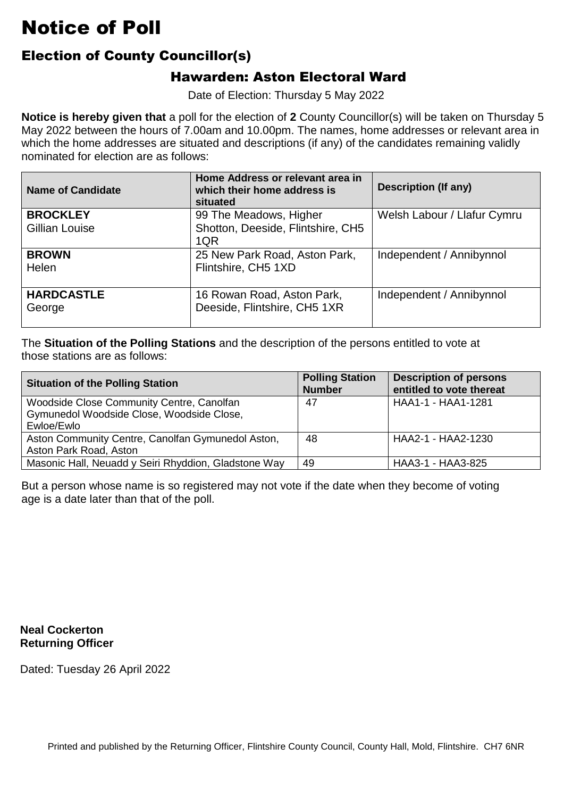### Election of County Councillor(s)

#### Hawarden: Aston Electoral Ward

Date of Election: Thursday 5 May 2022

 **Notice is hereby given that** a poll for the election of **2** County Councillor(s) will be taken on Thursday 5 which the home addresses are situated and descriptions (if any) of the candidates remaining validly nominated for election are as follows: May 2022 between the hours of 7.00am and 10.00pm. The names, home addresses or relevant area in

| <b>Name of Candidate</b> | Home Address or relevant area in<br>which their home address is<br>situated | <b>Description (If any)</b> |
|--------------------------|-----------------------------------------------------------------------------|-----------------------------|
| <b>BROCKLEY</b>          | 99 The Meadows, Higher                                                      | Welsh Labour / Llafur Cymru |
| Gillian Louise           | Shotton, Deeside, Flintshire, CH5                                           |                             |
|                          | 1QR                                                                         |                             |
| <b>BROWN</b>             | 25 New Park Road, Aston Park,                                               | Independent / Annibynnol    |
| Helen                    | Flintshire, CH5 1XD                                                         |                             |
|                          |                                                                             |                             |
| <b>HARDCASTLE</b>        | 16 Rowan Road, Aston Park,                                                  | Independent / Annibynnol    |
| George                   | Deeside, Flintshire, CH5 1XR                                                |                             |
|                          |                                                                             |                             |

 The **Situation of the Polling Stations** and the description of the persons entitled to vote at those stations are as follows:

| <b>Situation of the Polling Station</b>                                                              | <b>Polling Station</b><br><b>Number</b> | <b>Description of persons</b><br>entitled to vote thereat |
|------------------------------------------------------------------------------------------------------|-----------------------------------------|-----------------------------------------------------------|
| Woodside Close Community Centre, Canolfan<br>Gymunedol Woodside Close, Woodside Close,<br>Ewloe/Ewlo | 47                                      | HAA1-1 - HAA1-1281                                        |
| Aston Community Centre, Canolfan Gymunedol Aston,<br>Aston Park Road, Aston                          | 48                                      | HAA2-1 - HAA2-1230                                        |
| Masonic Hall, Neuadd y Seiri Rhyddion, Gladstone Way                                                 | 49                                      | HAA3-1 - HAA3-825                                         |

But a person whose name is so registered may not vote if the date when they become of voting<br>age is a date later than that of the poll. age is a date later than that of the poll.

**Neal Cockerton Returning Officer**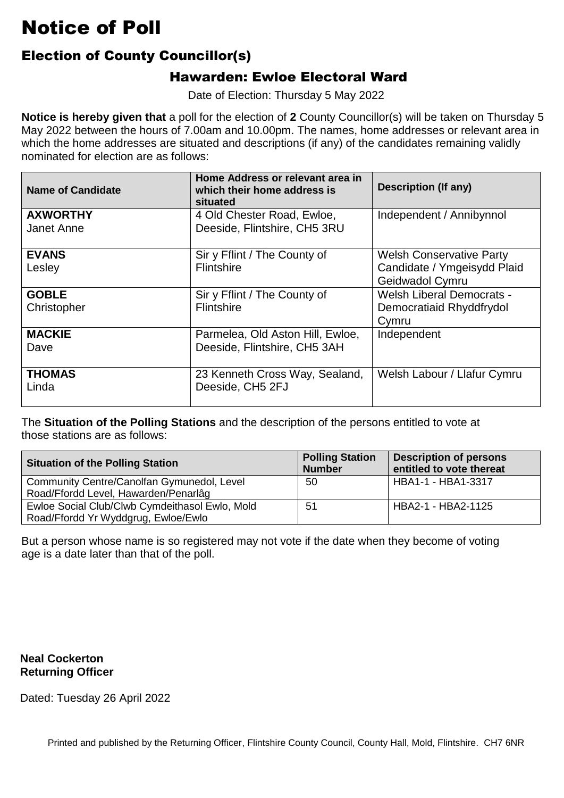### Election of County Councillor(s)

#### Hawarden: Ewloe Electoral Ward

Date of Election: Thursday 5 May 2022

 **Notice is hereby given that** a poll for the election of **2** County Councillor(s) will be taken on Thursday 5 which the home addresses are situated and descriptions (if any) of the candidates remaining validly nominated for election are as follows: May 2022 between the hours of 7.00am and 10.00pm. The names, home addresses or relevant area in

| <b>Name of Candidate</b>      | Home Address or relevant area in<br>which their home address is<br>situated | <b>Description (If any)</b>                                                       |
|-------------------------------|-----------------------------------------------------------------------------|-----------------------------------------------------------------------------------|
| <b>AXWORTHY</b><br>Janet Anne | 4 Old Chester Road, Ewloe,<br>Deeside, Flintshire, CH5 3RU                  | Independent / Annibynnol                                                          |
| <b>EVANS</b><br>Lesley        | Sir y Fflint / The County of<br>Flintshire                                  | <b>Welsh Conservative Party</b><br>Candidate / Ymgeisydd Plaid<br>Geidwadol Cymru |
| <b>GOBLE</b><br>Christopher   | Sir y Fflint / The County of<br>Flintshire                                  | <b>Welsh Liberal Democrats -</b><br>Democratiaid Rhyddfrydol<br>Cymru             |
| <b>MACKIE</b><br>Dave         | Parmelea, Old Aston Hill, Ewloe,<br>Deeside, Flintshire, CH5 3AH            | Independent                                                                       |
| <b>THOMAS</b><br>Linda        | 23 Kenneth Cross Way, Sealand,<br>Deeside, CH5 2FJ                          | Welsh Labour / Llafur Cymru                                                       |

 The **Situation of the Polling Stations** and the description of the persons entitled to vote at those stations are as follows:

| <b>Situation of the Polling Station</b>        | <b>Polling Station</b><br><b>Number</b> | <b>Description of persons</b><br>entitled to vote thereat |
|------------------------------------------------|-----------------------------------------|-----------------------------------------------------------|
| Community Centre/Canolfan Gymunedol, Level     | 50                                      | HBA1-1 - HBA1-3317                                        |
| Road/Ffordd Level, Hawarden/Penarlâg           |                                         |                                                           |
| Ewloe Social Club/Clwb Cymdeithasol Ewlo, Mold | 51                                      | HBA2-1 - HBA2-1125                                        |
| Road/Ffordd Yr Wyddgrug, Ewloe/Ewlo            |                                         |                                                           |

But a person whose name is so registered may not vote if the date when they become of voting<br>age is a date later than that of the poll. age is a date later than that of the poll.

**Neal Cockerton Returning Officer**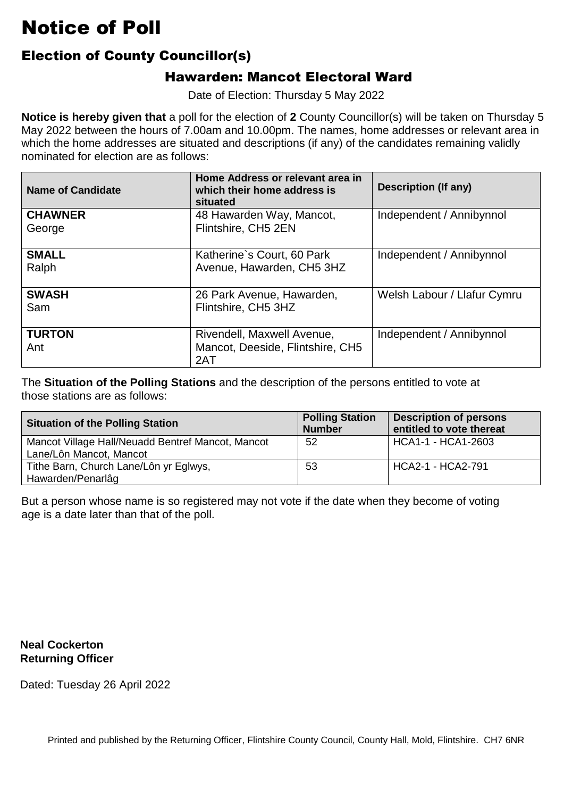### Election of County Councillor(s)

#### Hawarden: Mancot Electoral Ward

Date of Election: Thursday 5 May 2022

 **Notice is hereby given that** a poll for the election of **2** County Councillor(s) will be taken on Thursday 5 which the home addresses are situated and descriptions (if any) of the candidates remaining validly nominated for election are as follows: May 2022 between the hours of 7.00am and 10.00pm. The names, home addresses or relevant area in

| <b>Name of Candidate</b> | Home Address or relevant area in<br>which their home address is<br>situated | <b>Description (If any)</b> |
|--------------------------|-----------------------------------------------------------------------------|-----------------------------|
| <b>CHAWNER</b><br>George | 48 Hawarden Way, Mancot,<br>Flintshire, CH5 2EN                             | Independent / Annibynnol    |
| <b>SMALL</b><br>Ralph    | Katherine's Court, 60 Park<br>Avenue, Hawarden, CH5 3HZ                     | Independent / Annibynnol    |
| <b>SWASH</b><br>Sam      | 26 Park Avenue, Hawarden,<br>Flintshire, CH5 3HZ                            | Welsh Labour / Llafur Cymru |
| <b>TURTON</b><br>Ant     | Rivendell, Maxwell Avenue,<br>Mancot, Deeside, Flintshire, CH5<br>2AT       | Independent / Annibynnol    |

 The **Situation of the Polling Stations** and the description of the persons entitled to vote at those stations are as follows:

| <b>Situation of the Polling Station</b>                                      | <b>Polling Station</b><br><b>Number</b> | <b>Description of persons</b><br>entitled to vote thereat |
|------------------------------------------------------------------------------|-----------------------------------------|-----------------------------------------------------------|
| Mancot Village Hall/Neuadd Bentref Mancot, Mancot<br>Lane/Lôn Mancot, Mancot | 52                                      | HCA1-1 - HCA1-2603                                        |
| Tithe Barn, Church Lane/Lôn yr Eglwys,<br>Hawarden/Penarlâg                  | 53                                      | HCA2-1 - HCA2-791                                         |

But a person whose name is so registered may not vote if the date when they become of voting<br>age is a date later than that of the poll. age is a date later than that of the poll.

**Neal Cockerton Returning Officer**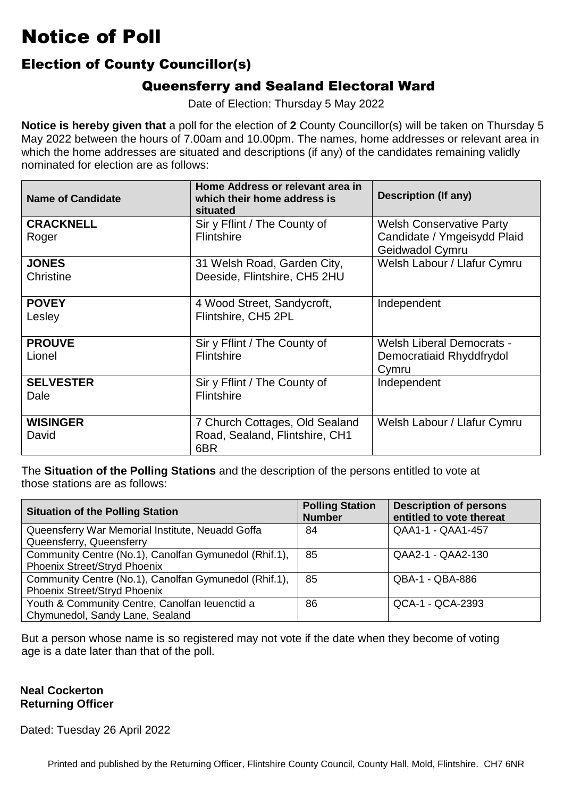#### Election of County Councillor(s)

#### Queensferry and Sealand Electoral Ward

Date of Election: Thursday 5 May 2022

 **Notice is hereby given that** a poll for the election of **2** County Councillor(s) will be taken on Thursday 5 which the home addresses are situated and descriptions (if any) of the candidates remaining validly nominated for election are as follows: May 2022 between the hours of 7.00am and 10.00pm. The names, home addresses or relevant area in

| <b>Name of Candidate</b> | Home Address or relevant area in<br>which their home address is<br>situated | <b>Description (If any)</b>      |
|--------------------------|-----------------------------------------------------------------------------|----------------------------------|
| <b>CRACKNELL</b>         | Sir y Fflint / The County of                                                | <b>Welsh Conservative Party</b>  |
| Roger                    | <b>Flintshire</b>                                                           | Candidate / Ymgeisydd Plaid      |
|                          |                                                                             | Geidwadol Cymru                  |
| <b>JONES</b>             | 31 Welsh Road, Garden City,                                                 | Welsh Labour / Llafur Cymru      |
| Christine                | Deeside, Flintshire, CH5 2HU                                                |                                  |
|                          |                                                                             |                                  |
| <b>POVEY</b>             | 4 Wood Street, Sandycroft,                                                  | Independent                      |
| Lesley                   | Flintshire, CH5 2PL                                                         |                                  |
|                          |                                                                             |                                  |
| <b>PROUVE</b>            | Sir y Fflint / The County of                                                | <b>Welsh Liberal Democrats -</b> |
| Lionel                   | <b>Flintshire</b>                                                           | Democratiaid Rhyddfrydol         |
|                          |                                                                             | Cymru                            |
| <b>SELVESTER</b>         | Sir y Fflint / The County of                                                | Independent                      |
| Dale                     | <b>Flintshire</b>                                                           |                                  |
|                          |                                                                             |                                  |
| <b>WISINGER</b>          | 7 Church Cottages, Old Sealand                                              | Welsh Labour / Llafur Cymru      |
| David                    | Road, Sealand, Flintshire, CH1                                              |                                  |
|                          | 6BR                                                                         |                                  |

 The **Situation of the Polling Stations** and the description of the persons entitled to vote at those stations are as follows:

| <b>Situation of the Polling Station</b>               | <b>Polling Station</b><br><b>Number</b> | <b>Description of persons</b><br>entitled to vote thereat |
|-------------------------------------------------------|-----------------------------------------|-----------------------------------------------------------|
| Queensferry War Memorial Institute, Neuadd Goffa      | 84                                      | QAA1-1 - QAA1-457                                         |
| Queensferry, Queensferry                              |                                         |                                                           |
| Community Centre (No.1), Canolfan Gymunedol (Rhif.1), | 85                                      | QAA2-1 - QAA2-130                                         |
| <b>Phoenix Street/Stryd Phoenix</b>                   |                                         |                                                           |
| Community Centre (No.1), Canolfan Gymunedol (Rhif.1), | 85                                      | QBA-1 - QBA-886                                           |
| <b>Phoenix Street/Stryd Phoenix</b>                   |                                         |                                                           |
| Youth & Community Centre, Canolfan leuenctid a        | 86                                      | QCA-1 - QCA-2393                                          |
| Chymunedol, Sandy Lane, Sealand                       |                                         |                                                           |

But a person whose name is so registered may not vote if the date when they become of voting<br>age is a date later than that of the poll. age is a date later than that of the poll.

#### **Neal Cockerton Returning Officer**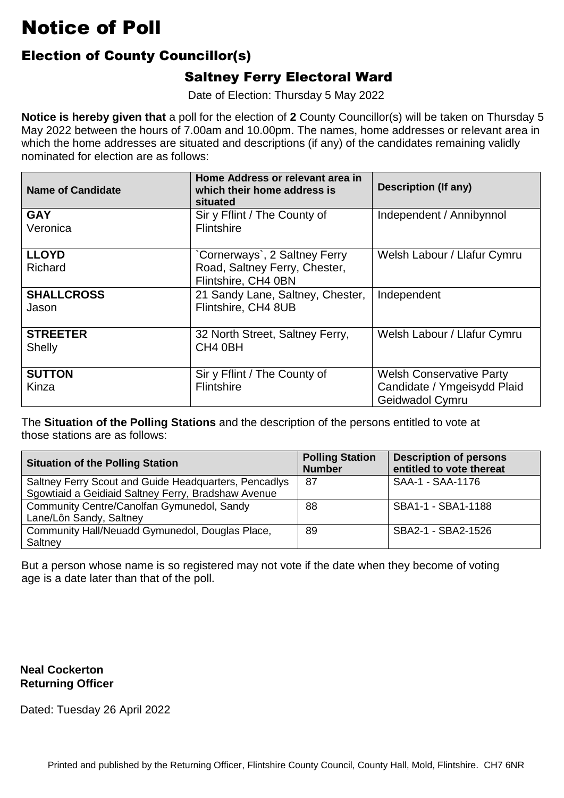### Election of County Councillor(s)

### Saltney Ferry Electoral Ward

Date of Election: Thursday 5 May 2022

 **Notice is hereby given that** a poll for the election of **2** County Councillor(s) will be taken on Thursday 5 which the home addresses are situated and descriptions (if any) of the candidates remaining validly nominated for election are as follows: May 2022 between the hours of 7.00am and 10.00pm. The names, home addresses or relevant area in

| <b>Name of Candidate</b>         | Home Address or relevant area in<br>which their home address is<br>situated          | <b>Description (If any)</b>                                                       |
|----------------------------------|--------------------------------------------------------------------------------------|-----------------------------------------------------------------------------------|
| <b>GAY</b><br>Veronica           | Sir y Fflint / The County of<br><b>Flintshire</b>                                    | Independent / Annibynnol                                                          |
| <b>LLOYD</b><br>Richard          | Cornerways`, 2 Saltney Ferry<br>Road, Saltney Ferry, Chester,<br>Flintshire, CH4 0BN | Welsh Labour / Llafur Cymru                                                       |
| <b>SHALLCROSS</b><br>Jason       | 21 Sandy Lane, Saltney, Chester,<br>Flintshire, CH4 8UB                              | Independent                                                                       |
| <b>STREETER</b><br><b>Shelly</b> | 32 North Street, Saltney Ferry,<br>CH <sub>4</sub> 0BH                               | Welsh Labour / Llafur Cymru                                                       |
| <b>SUTTON</b><br>Kinza           | Sir y Fflint / The County of<br>Flintshire                                           | <b>Welsh Conservative Party</b><br>Candidate / Ymgeisydd Plaid<br>Geidwadol Cymru |

 The **Situation of the Polling Stations** and the description of the persons entitled to vote at those stations are as follows:

| <b>Situation of the Polling Station</b>               | <b>Polling Station</b><br><b>Number</b> | <b>Description of persons</b><br>entitled to vote thereat |
|-------------------------------------------------------|-----------------------------------------|-----------------------------------------------------------|
| Saltney Ferry Scout and Guide Headquarters, Pencadlys | 87                                      | SAA-1 - SAA-1176                                          |
| Sgowtiaid a Geidiaid Saltney Ferry, Bradshaw Avenue   |                                         |                                                           |
| Community Centre/Canolfan Gymunedol, Sandy            | 88                                      | SBA1-1 - SBA1-1188                                        |
| Lane/Lôn Sandy, Saltney                               |                                         |                                                           |
| Community Hall/Neuadd Gymunedol, Douglas Place,       | 89                                      | SBA2-1 - SBA2-1526                                        |
| Saltney                                               |                                         |                                                           |

But a person whose name is so registered may not vote if the date when they become of voting<br>age is a date later than that of the poll. age is a date later than that of the poll.

**Neal Cockerton Returning Officer**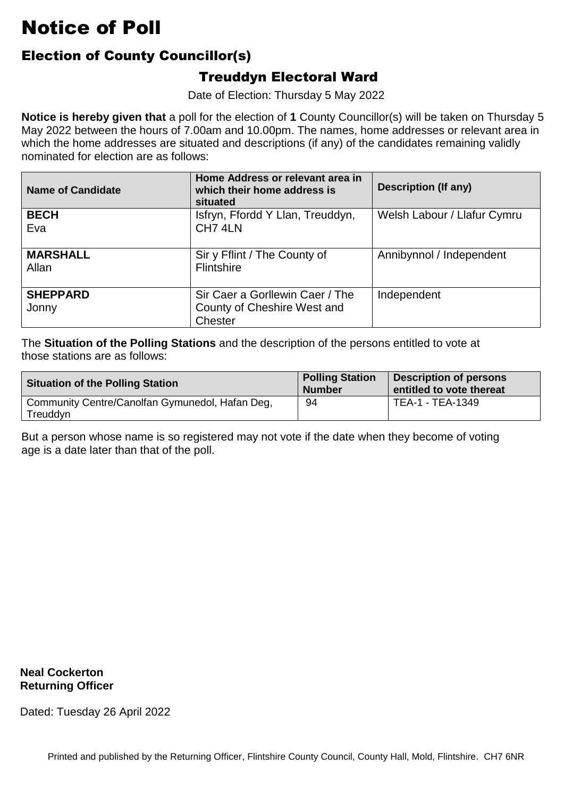### Election of County Councillor(s)

#### Treuddyn Electoral Ward

Date of Election: Thursday 5 May 2022

 **Notice is hereby given that** a poll for the election of **1** County Councillor(s) will be taken on Thursday 5 which the home addresses are situated and descriptions (if any) of the candidates remaining validly nominated for election are as follows: May 2022 between the hours of 7.00am and 10.00pm. The names, home addresses or relevant area in

| <b>Name of Candidate</b> | Home Address or relevant area in<br>which their home address is<br>situated | <b>Description (If any)</b> |
|--------------------------|-----------------------------------------------------------------------------|-----------------------------|
| <b>BECH</b><br>Eva       | Isfryn, Ffordd Y Llan, Treuddyn,<br>CH7 4LN                                 | Welsh Labour / Llafur Cymru |
| <b>MARSHALL</b><br>Allan | Sir y Fflint / The County of<br><b>Flintshire</b>                           | Annibynnol / Independent    |
| <b>SHEPPARD</b><br>Jonny | Sir Caer a Gorllewin Caer / The<br>County of Cheshire West and<br>Chester   | Independent                 |

 The **Situation of the Polling Stations** and the description of the persons entitled to vote at those stations are as follows:

| <b>Situation of the Polling Station</b>                     | <b>Polling Station</b><br><b>Number</b> | <b>Description of persons</b><br>entitled to vote thereat |
|-------------------------------------------------------------|-----------------------------------------|-----------------------------------------------------------|
| Community Centre/Canolfan Gymunedol, Hafan Deg,<br>Treuddyn | 94                                      | TEA-1 - TEA-1349                                          |

But a person whose name is so registered may not vote if the date when they become of voting<br>age is a date later than that of the poll. age is a date later than that of the poll.

**Neal Cockerton Returning Officer**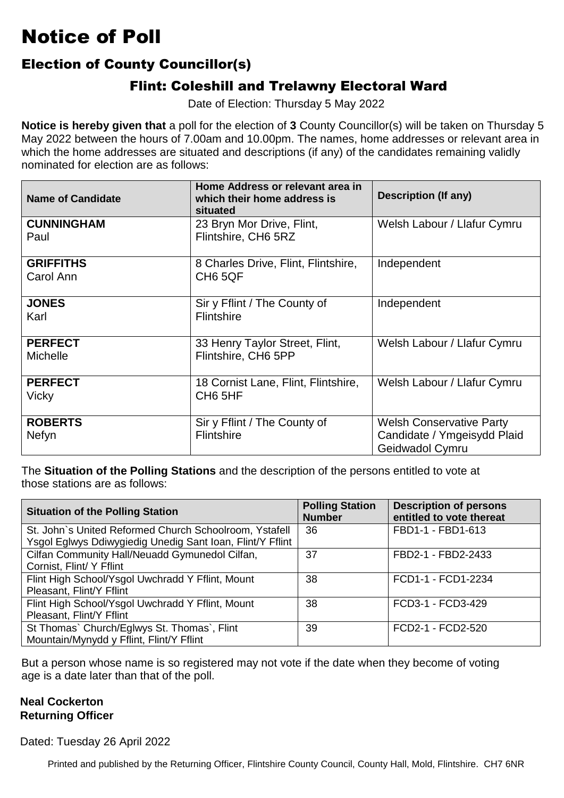### Election of County Councillor(s)

#### Flint: Coleshill and Trelawny Electoral Ward

Date of Election: Thursday 5 May 2022

 **Notice is hereby given that** a poll for the election of **3** County Councillor(s) will be taken on Thursday 5 which the home addresses are situated and descriptions (if any) of the candidates remaining validly nominated for election are as follows: May 2022 between the hours of 7.00am and 10.00pm. The names, home addresses or relevant area in

| <b>Name of Candidate</b>          | Home Address or relevant area in<br>which their home address is<br>situated | <b>Description (If any)</b>                                                       |
|-----------------------------------|-----------------------------------------------------------------------------|-----------------------------------------------------------------------------------|
| <b>CUNNINGHAM</b><br>Paul         | 23 Bryn Mor Drive, Flint,<br>Flintshire, CH6 5RZ                            | Welsh Labour / Llafur Cymru                                                       |
| <b>GRIFFITHS</b><br>Carol Ann     | 8 Charles Drive, Flint, Flintshire,<br>CH <sub>6</sub> 5QF                  | Independent                                                                       |
| <b>JONES</b><br>Karl              | Sir y Fflint / The County of<br>Flintshire                                  | Independent                                                                       |
| <b>PERFECT</b><br><b>Michelle</b> | 33 Henry Taylor Street, Flint,<br>Flintshire, CH6 5PP                       | Welsh Labour / Llafur Cymru                                                       |
| <b>PERFECT</b><br>Vicky           | 18 Cornist Lane, Flint, Flintshire,<br>CH <sub>6</sub> 5HF                  | Welsh Labour / Llafur Cymru                                                       |
| <b>ROBERTS</b><br>Nefyn           | Sir y Fflint / The County of<br><b>Flintshire</b>                           | <b>Welsh Conservative Party</b><br>Candidate / Ymgeisydd Plaid<br>Geidwadol Cymru |

 The **Situation of the Polling Stations** and the description of the persons entitled to vote at those stations are as follows:

| <b>Situation of the Polling Station</b>                   | <b>Polling Station</b><br><b>Number</b> | <b>Description of persons</b><br>entitled to vote thereat |
|-----------------------------------------------------------|-----------------------------------------|-----------------------------------------------------------|
| St. John's United Reformed Church Schoolroom, Ystafell    | 36                                      | FBD1-1 - FBD1-613                                         |
| Ysgol Eglwys Ddiwygiedig Unedig Sant Ioan, Flint/Y Fflint |                                         |                                                           |
| Cilfan Community Hall/Neuadd Gymunedol Cilfan,            | 37                                      | FBD2-1 - FBD2-2433                                        |
| Cornist, Flint/ Y Fflint                                  |                                         |                                                           |
| Flint High School/Ysgol Uwchradd Y Fflint, Mount          | 38                                      | FCD1-1 - FCD1-2234                                        |
| Pleasant, Flint/Y Fflint                                  |                                         |                                                           |
| Flint High School/Ysgol Uwchradd Y Fflint, Mount          | 38                                      | FCD3-1 - FCD3-429                                         |
| Pleasant, Flint/Y Fflint                                  |                                         |                                                           |
| St Thomas` Church/Eglwys St. Thomas`, Flint               | 39                                      | FCD2-1 - FCD2-520                                         |
| Mountain/Mynydd y Fflint, Flint/Y Fflint                  |                                         |                                                           |

But a person whose name is so registered may not vote if the date when they become of voting<br>age is a date later than that of the poll. age is a date later than that of the poll.

#### **Neal Cockerton Returning Officer**

Dated: Tuesday 26 April 2022

Printed and published by the Returning Officer, Flintshire County Council, County Hall, Mold, Flintshire. CH7 6NR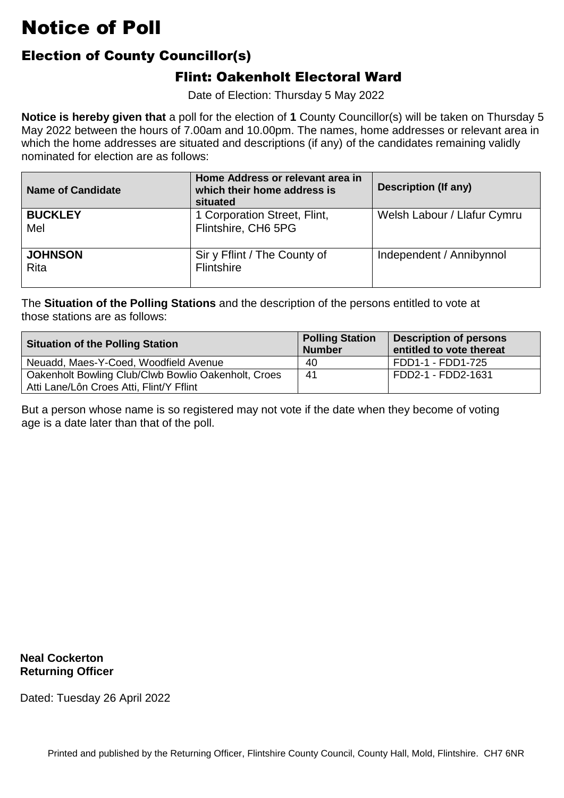### Election of County Councillor(s)

#### Flint: Oakenholt Electoral Ward

Date of Election: Thursday 5 May 2022

 **Notice is hereby given that** a poll for the election of **1** County Councillor(s) will be taken on Thursday 5 which the home addresses are situated and descriptions (if any) of the candidates remaining validly nominated for election are as follows: May 2022 between the hours of 7.00am and 10.00pm. The names, home addresses or relevant area in

| <b>Name of Candidate</b> | Home Address or relevant area in<br>which their home address is<br>situated | Description (If any)        |
|--------------------------|-----------------------------------------------------------------------------|-----------------------------|
| <b>BUCKLEY</b><br>Mel    | 1 Corporation Street, Flint,<br>Flintshire, CH6 5PG                         | Welsh Labour / Llafur Cymru |
| <b>JOHNSON</b><br>Rita   | Sir y Fflint / The County of<br><b>Flintshire</b>                           | Independent / Annibynnol    |

 The **Situation of the Polling Stations** and the description of the persons entitled to vote at those stations are as follows:

| <b>Situation of the Polling Station</b>                                                         | <b>Polling Station</b><br><b>Number</b> | <b>Description of persons</b><br>entitled to vote thereat |
|-------------------------------------------------------------------------------------------------|-----------------------------------------|-----------------------------------------------------------|
| Neuadd, Maes-Y-Coed, Woodfield Avenue                                                           | 40                                      | FDD1-1 - FDD1-725                                         |
| Oakenholt Bowling Club/Clwb Bowlio Oakenholt, Croes<br>Atti Lane/Lôn Croes Atti, Flint/Y Fflint | -41                                     | FDD2-1 - FDD2-1631                                        |

But a person whose name is so registered may not vote if the date when they become of voting<br>age is a date later than that of the poll. age is a date later than that of the poll.

**Neal Cockerton Returning Officer**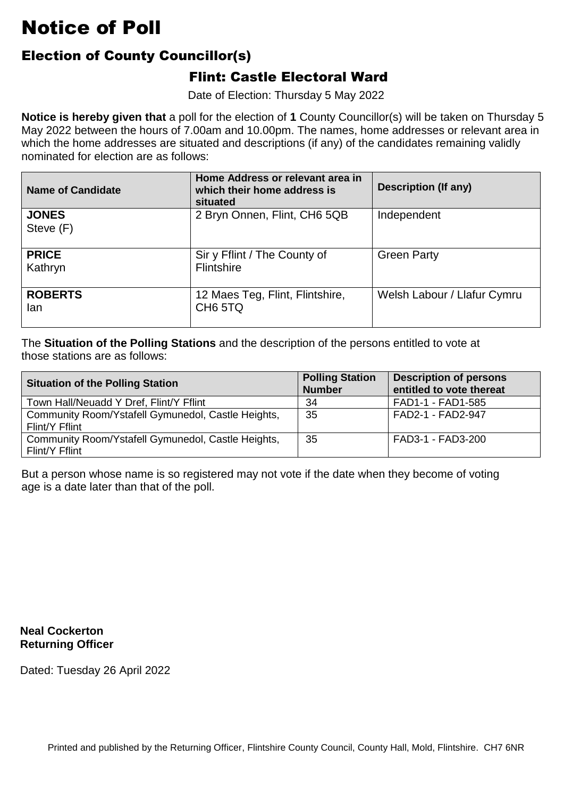### Election of County Councillor(s)

#### Flint: Castle Electoral Ward

Date of Election: Thursday 5 May 2022

 **Notice is hereby given that** a poll for the election of **1** County Councillor(s) will be taken on Thursday 5 which the home addresses are situated and descriptions (if any) of the candidates remaining validly nominated for election are as follows: May 2022 between the hours of 7.00am and 10.00pm. The names, home addresses or relevant area in

| <b>Name of Candidate</b>  | Home Address or relevant area in<br>which their home address is<br>situated | <b>Description (If any)</b> |
|---------------------------|-----------------------------------------------------------------------------|-----------------------------|
| <b>JONES</b><br>Steve (F) | 2 Bryn Onnen, Flint, CH6 5QB                                                | Independent                 |
| <b>PRICE</b><br>Kathryn   | Sir y Fflint / The County of<br><b>Flintshire</b>                           | <b>Green Party</b>          |
| <b>ROBERTS</b><br>lan     | 12 Maes Teg, Flint, Flintshire,<br>CH <sub>6</sub> 5TQ                      | Welsh Labour / Llafur Cymru |

 The **Situation of the Polling Stations** and the description of the persons entitled to vote at those stations are as follows:

| <b>Situation of the Polling Station</b>                              | <b>Polling Station</b><br><b>Number</b> | <b>Description of persons</b><br>entitled to vote thereat |
|----------------------------------------------------------------------|-----------------------------------------|-----------------------------------------------------------|
| Town Hall/Neuadd Y Dref, Flint/Y Fflint                              | 34                                      | FAD1-1 - FAD1-585                                         |
| Community Room/Ystafell Gymunedol, Castle Heights,<br>Flint/Y Fflint | 35                                      | FAD2-1 - FAD2-947                                         |
| Community Room/Ystafell Gymunedol, Castle Heights,<br>Flint/Y Fflint | 35                                      | FAD3-1 - FAD3-200                                         |

But a person whose name is so registered may not vote if the date when they become of voting<br>age is a date later than that of the poll. age is a date later than that of the poll.

**Neal Cockerton Returning Officer**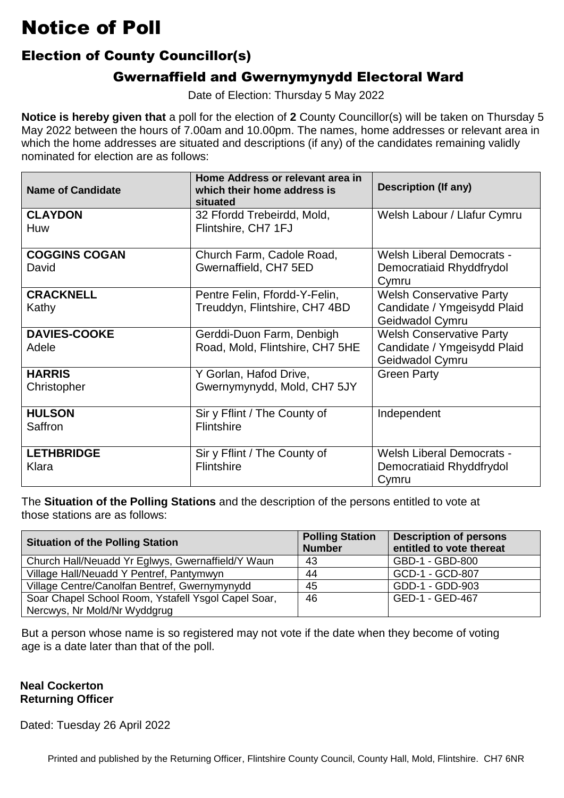#### Election of County Councillor(s)

#### Gwernaffield and Gwernymynydd Electoral Ward

Date of Election: Thursday 5 May 2022

 **Notice is hereby given that** a poll for the election of **2** County Councillor(s) will be taken on Thursday 5 which the home addresses are situated and descriptions (if any) of the candidates remaining validly nominated for election are as follows: May 2022 between the hours of 7.00am and 10.00pm. The names, home addresses or relevant area in

| <b>Name of Candidate</b>      | Home Address or relevant area in<br>which their home address is<br>situated | <b>Description (If any)</b>                                                       |
|-------------------------------|-----------------------------------------------------------------------------|-----------------------------------------------------------------------------------|
| <b>CLAYDON</b><br>Huw         | 32 Ffordd Trebeirdd, Mold,<br>Flintshire, CH7 1FJ                           | Welsh Labour / Llafur Cymru                                                       |
| <b>COGGINS COGAN</b><br>David | Church Farm, Cadole Road,<br>Gwernaffield, CH7 5ED                          | <b>Welsh Liberal Democrats -</b><br>Democratiaid Rhyddfrydol<br>Cymru             |
| <b>CRACKNELL</b><br>Kathy     | Pentre Felin, Ffordd-Y-Felin,<br>Treuddyn, Flintshire, CH7 4BD              | <b>Welsh Conservative Party</b><br>Candidate / Ymgeisydd Plaid<br>Geidwadol Cymru |
| <b>DAVIES-COOKE</b><br>Adele  | Gerddi-Duon Farm, Denbigh<br>Road, Mold, Flintshire, CH7 5HE                | <b>Welsh Conservative Party</b><br>Candidate / Ymgeisydd Plaid<br>Geidwadol Cymru |
| <b>HARRIS</b><br>Christopher  | Y Gorlan, Hafod Drive,<br>Gwernymynydd, Mold, CH7 5JY                       | <b>Green Party</b>                                                                |
| <b>HULSON</b><br>Saffron      | Sir y Fflint / The County of<br>Flintshire                                  | Independent                                                                       |
| <b>LETHBRIDGE</b><br>Klara    | Sir y Fflint / The County of<br>Flintshire                                  | <b>Welsh Liberal Democrats -</b><br>Democratiaid Rhyddfrydol<br>Cymru             |

 The **Situation of the Polling Stations** and the description of the persons entitled to vote at those stations are as follows:

| <b>Situation of the Polling Station</b>             | <b>Polling Station</b><br><b>Number</b> | <b>Description of persons</b><br>entitled to vote thereat |
|-----------------------------------------------------|-----------------------------------------|-----------------------------------------------------------|
| Church Hall/Neuadd Yr Eglwys, Gwernaffield/Y Waun   | 43                                      | GBD-1 - GBD-800                                           |
| Village Hall/Neuadd Y Pentref, Pantymwyn            | 44                                      | GCD-1 - GCD-807                                           |
| Village Centre/Canolfan Bentref, Gwernymynydd       | 45                                      | GDD-1 - GDD-903                                           |
| Soar Chapel School Room, Ystafell Ysgol Capel Soar, | 46                                      | GED-1 - GED-467                                           |
| Nercwys, Nr Mold/Nr Wyddgrug                        |                                         |                                                           |

But a person whose name is so registered may not vote if the date when they become of voting<br>age is a date later than that of the poll. age is a date later than that of the poll.

#### **Neal Cockerton Returning Officer**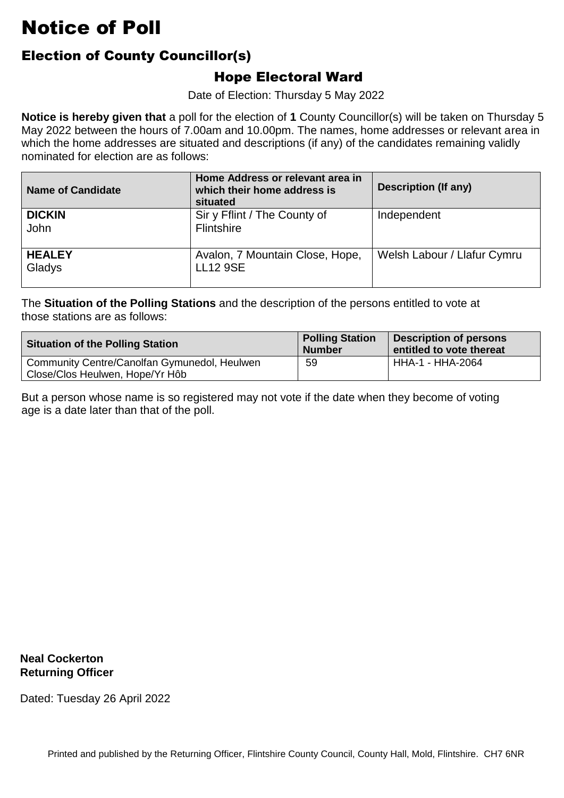### Election of County Councillor(s)

#### Hope Electoral Ward

Date of Election: Thursday 5 May 2022

 **Notice is hereby given that** a poll for the election of **1** County Councillor(s) will be taken on Thursday 5 which the home addresses are situated and descriptions (if any) of the candidates remaining validly nominated for election are as follows: May 2022 between the hours of 7.00am and 10.00pm. The names, home addresses or relevant area in

| <b>Name of Candidate</b> | Home Address or relevant area in<br>which their home address is<br>situated | <b>Description (If any)</b> |
|--------------------------|-----------------------------------------------------------------------------|-----------------------------|
| <b>DICKIN</b><br>John    | Sir y Fflint / The County of<br>Flintshire                                  | Independent                 |
| <b>HEALEY</b><br>Gladys  | Avalon, 7 Mountain Close, Hope,<br><b>LL12 9SE</b>                          | Welsh Labour / Llafur Cymru |

 The **Situation of the Polling Stations** and the description of the persons entitled to vote at those stations are as follows:

| <b>Situation of the Polling Station</b>                                         | <b>Polling Station</b><br><b>Number</b> | <b>Description of persons</b><br>entitled to vote thereat |
|---------------------------------------------------------------------------------|-----------------------------------------|-----------------------------------------------------------|
| Community Centre/Canolfan Gymunedol, Heulwen<br>Close/Clos Heulwen, Hope/Yr Hôb | 59                                      | HHA-1 - HHA-2064                                          |

But a person whose name is so registered may not vote if the date when they become of voting<br>age is a date later than that of the poll. age is a date later than that of the poll.

**Neal Cockerton Returning Officer**